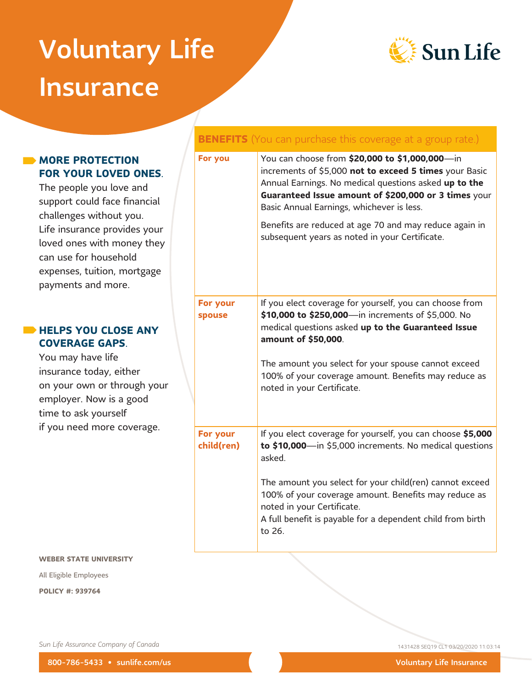# Voluntary Life **Insurance**



# **MORE PROTECTION FOR YOUR LOVED ONES**.

The people you love and support could face financial challenges without you. Life insurance provides your loved ones with money they can use for household expenses, tuition, mortgage payments and more.

# **HELPS YOU CLOSE ANY COVERAGE GAPS**.

You may have life insurance today, either on your own or through your employer. Now is a good time to ask yourself if you need more coverage.

# **BENEFITS** (You can purchase this coverage at a group rate.)

| For you                | You can choose from \$20,000 to \$1,000,000—in<br>increments of \$5,000 not to exceed 5 times your Basic<br>Annual Earnings. No medical questions asked up to the<br>Guaranteed Issue amount of \$200,000 or 3 times your<br>Basic Annual Earnings, whichever is less.<br>Benefits are reduced at age 70 and may reduce again in<br>subsequent years as noted in your Certificate. |
|------------------------|------------------------------------------------------------------------------------------------------------------------------------------------------------------------------------------------------------------------------------------------------------------------------------------------------------------------------------------------------------------------------------|
| For your<br>spouse     | If you elect coverage for yourself, you can choose from<br>\$10,000 to \$250,000-in increments of \$5,000. No<br>medical questions asked up to the Guaranteed Issue<br>amount of \$50,000.<br>The amount you select for your spouse cannot exceed<br>100% of your coverage amount. Benefits may reduce as<br>noted in your Certificate.                                            |
| For your<br>child(ren) | If you elect coverage for yourself, you can choose \$5,000<br>to $$10,000$ in $$5,000$ increments. No medical questions<br>asked.<br>The amount you select for your child(ren) cannot exceed<br>100% of your coverage amount. Benefits may reduce as<br>noted in your Certificate.<br>A full benefit is payable for a dependent child from birth<br>to 26.                         |

#### **WEBER STATE UNIVERSITY**

All Eligible Employees

**POLICY #: 939764**

*Sun Life Assurance Company of Canada* 1431428 SEQ19 CL1 03/20/2020 11:03:14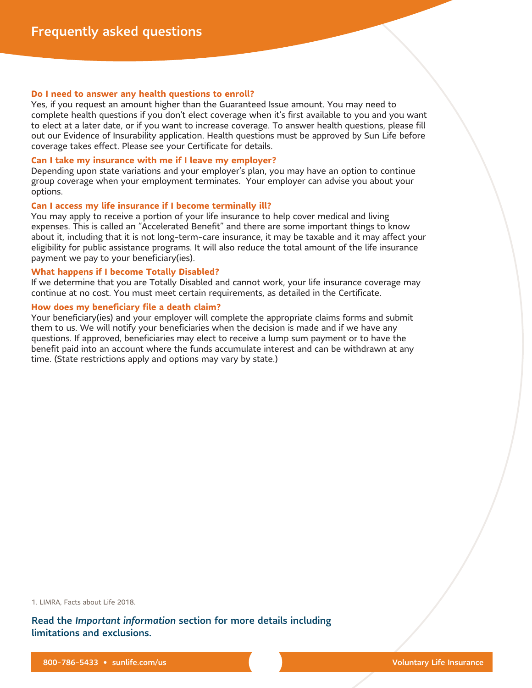#### **Do I need to answer any health questions to enroll?**

Yes, if you request an amount higher than the Guaranteed Issue amount. You may need to complete health questions if you don't elect coverage when it's first available to you and you want to elect at a later date, or if you want to increase coverage. To answer health questions, please fill out our Evidence of Insurability application. Health questions must be approved by Sun Life before coverage takes effect. Please see your Certificate for details.

#### **Can I take my insurance with me if I leave my employer?**

Depending upon state variations and your employer's plan, you may have an option to continue group coverage when your employment terminates. Your employer can advise you about your options.

#### **Can I access my life insurance if I become terminally ill?**

You may apply to receive a portion of your life insurance to help cover medical and living expenses. This is called an "Accelerated Benefit" and there are some important things to know about it, including that it is not long-term-care insurance, it may be taxable and it may affect your eligibility for public assistance programs. It will also reduce the total amount of the life insurance payment we pay to your beneficiary(ies).

#### **What happens if I become Totally Disabled?**

If we determine that you are Totally Disabled and cannot work, your life insurance coverage may continue at no cost. You must meet certain requirements, as detailed in the Certificate.

#### **How does my beneficiary file a death claim?**

Your beneficiary(ies) and your employer will complete the appropriate claims forms and submit them to us. We will notify your beneficiaries when the decision is made and if we have any questions. If approved, beneficiaries may elect to receive a lump sum payment or to have the benefit paid into an account where the funds accumulate interest and can be withdrawn at any time. (State restrictions apply and options may vary by state.)

1. LIMRA, Facts about Life 2018.

Read the *Important information* section for more details including limitations and exclusions.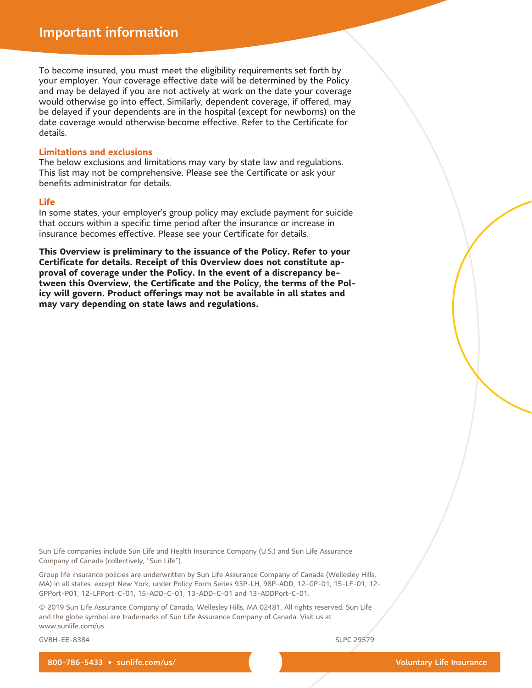To become insured, you must meet the eligibility requirements set forth by your employer. Your coverage effective date will be determined by the Policy and may be delayed if you are not actively at work on the date your coverage would otherwise go into effect. Similarly, dependent coverage, if offered, may be delayed if your dependents are in the hospital (except for newborns) on the date coverage would otherwise become effective. Refer to the Certificate for details.

#### **Limitations and exclusions**

The below exclusions and limitations may vary by state law and regulations. This list may not be comprehensive. Please see the Certificate or ask your benefits administrator for details.

#### **Life**

In some states, your employer's group policy may exclude payment for suicide that occurs within a specific time period after the insurance or increase in insurance becomes effective. Please see your Certificate for details.

**This Overview is preliminary to the issuance of the Policy. Refer to your Certificate for details. Receipt of this Overview does not constitute approval of coverage under the Policy. In the event of a discrepancy between this Overview, the Certificate and the Policy, the terms of the Policy will govern. Product offerings may not be available in all states and may vary depending on state laws and regulations.**

Sun Life companies include Sun Life and Health Insurance Company (U.S.) and Sun Life Assurance Company of Canada (collectively, "Sun Life").

Group life insurance policies are underwritten by Sun Life Assurance Company of Canada (Wellesley Hills, MA) in all states, except New York, under Policy Form Series 93P-LH, 98P-ADD, 12-GP-01, 15-LF-01, 12- GPPort-P01, 12-LFPort-C-01, 15-ADD-C-01, 13-ADD-C-01 and 13-ADDPort-C-01.

© 2019 Sun Life Assurance Company of Canada, Wellesley Hills, MA 02481. All rights reserved. Sun Life and the globe symbol are trademarks of Sun Life Assurance Company of Canada. Visit us at www.sunlife.com/us.

GVBH-EE-8384 SLPC 29579

800-786-5433 • sunlife.com/us/ 800-786-5433 • sunlife.com/us/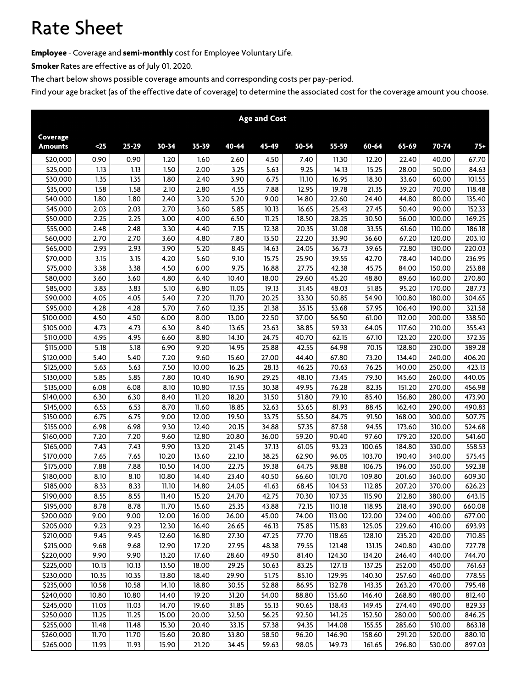# **Rate Sheet**

**Employee - Coverage and semi-monthly cost for Employee Voluntary Life.**

**Smoker Rates are effective as of July 01, 2020.**

**The chart below shows possible coverage amounts and corresponding costs per pay-period.**

|                        |       |           |       |                    |       | <b>Age and Cost</b> |       |        |        |        |        |        |
|------------------------|-------|-----------|-------|--------------------|-------|---------------------|-------|--------|--------|--------|--------|--------|
| Coverage               |       |           |       |                    |       |                     |       |        |        |        |        |        |
| <b>Amounts</b>         | $25$  | $25 - 29$ | 30-34 | $35 - 39$          | 40-44 | 45-49               | 50-54 | 55-59  | 60-64  | 65-69  | 70-74  | $75+$  |
| \$20,000               | 0.90  | 0.90      | 1.20  | 1.60               | 2.60  | 4.50                | 7.40  | 11.30  | 12.20  | 22.40  | 40.00  | 67.70  |
| $\overline{$}25,000$   | 1.13  | 1.13      | 1.50  | 2.00               | 3.25  | 5.63                | 9.25  | 14.13  | 15.25  | 28.00  | 50.00  | 84.63  |
| \$30,000               | 1.35  | 1.35      | 1.80  | 2.40               | 3.90  | 6.75                | 11.10 | 16.95  | 18.30  | 33.60  | 60.00  | 101.55 |
| \$35,000               | 1.58  | 1.58      | 2.10  | 2.80               | 4.55  | 7.88                | 12.95 | 19.78  | 21.35  | 39.20  | 70.00  | 118.48 |
| \$40,000               | 1.80  | 1.80      | 2.40  | 3.20               | 5.20  | 9.00                | 14.80 | 22.60  | 24.40  | 44.80  | 80.00  | 135.40 |
| \$45,000               | 2.03  | 2.03      | 2.70  | 3.60               | 5.85  | 10.13               | 16.65 | 25.43  | 27.45  | 50.40  | 90.00  | 152.33 |
| \$50,000               | 2.25  | 2.25      | 3.00  | 4.00               | 6.50  | 11.25               | 18.50 | 28.25  | 30.50  | 56.00  | 100.00 | 169.25 |
| \$55,000               | 2.48  | 2.48      | 3.30  | 4.40               | 7.15  | 12.38               | 20.35 | 31.08  | 33.55  | 61.60  | 110.00 | 186.18 |
| \$60,000               | 2.70  | 2.70      | 3.60  | 4.80               | 7.80  | 13.50               | 22.20 | 33.90  | 36.60  | 67.20  | 120.00 | 203.10 |
| \$65,000               | 2.93  | 2.93      | 3.90  | 5.20               | 8.45  | 14.63               | 24.05 | 36.73  | 39.65  | 72.80  | 130.00 | 220.03 |
| \$70,000               | 3.15  | 3.15      | 4.20  | 5.60               | 9.10  | 15.75               | 25.90 | 39.55  | 42.70  | 78.40  | 140.00 | 236.95 |
| $\overline{$}75,000$   | 3.38  | 3.38      | 4.50  | 6.00               | 9.75  | 16.88               | 27.75 | 42.38  | 45.75  | 84.00  | 150.00 | 253.88 |
| \$80,000               | 3.60  | 3.60      | 4.80  | 6.40               | 10.40 | 18.00               | 29.60 | 45.20  | 48.80  | 89.60  | 160.00 | 270.80 |
| \$85,000               | 3.83  | 3.83      | 5.10  | 6.80               | 11.05 | 19.13               | 31.45 | 48.03  | 51.85  | 95.20  | 170.00 | 287.73 |
| \$90,000               | 4.05  | 4.05      | 5.40  | 7.20               | 11.70 | 20.25               | 33.30 | 50.85  | 54.90  | 100.80 | 180.00 | 304.65 |
| \$95,000               | 4.28  | 4.28      | 5.70  | 7.60               | 12.35 | 21.38               | 35.15 | 53.68  | 57.95  | 106.40 | 190.00 | 321.58 |
| \$100,000              | 4.50  | 4.50      | 6.00  | 8.00               | 13.00 | 22.50               | 37.00 | 56.50  | 61.00  | 112.00 | 200.00 | 338.50 |
| \$105,000              | 4.73  | 4.73      | 6.30  | 8.40               | 13.65 | 23.63               | 38.85 | 59.33  | 64.05  | 117.60 | 210.00 | 355.43 |
| $\frac{1}{10,000}$     | 4.95  | 4.95      | 6.60  | 8.80               | 14.30 | 24.75               | 40.70 | 62.15  | 67.10  | 123.20 | 220.00 | 372.35 |
| \$115,000              | 5.18  | 5.18      | 6.90  | 9.20               | 14.95 | 25.88               | 42.55 | 64.98  | 70.15  | 128.80 | 230.00 | 389.28 |
| \$120,000              | 5.40  | 5.40      | 7.20  | 9.60               | 15.60 | 27.00               | 44.40 | 67.80  | 73.20  | 134.40 | 240.00 | 406.20 |
| $\overline{$}125,000$  | 5.63  | 5.63      | 7.50  | 10.00              | 16.25 | 28.13               | 46.25 | 70.63  | 76.25  | 140.00 | 250.00 | 423.13 |
| \$130,000              | 5.85  | 5.85      | 7.80  | $\overline{10.40}$ | 16.90 | 29.25               | 48.10 | 73.45  | 79.30  | 145.60 | 260.00 | 440.05 |
| \$135,000              | 6.08  | 6.08      | 8.10  | 10.80              | 17.55 | 30.38               | 49.95 | 76.28  | 82.35  | 151.20 | 270.00 | 456.98 |
| $\overline{51}40,000$  | 6.30  | 6.30      | 8.40  | 11.20              | 18.20 | 31.50               | 51.80 | 79.10  | 85.40  | 156.80 | 280.00 | 473.90 |
| \$145,000              | 6.53  | 6.53      | 8.70  | 11.60              | 18.85 | 32.63               | 53.65 | 81.93  | 88.45  | 162.40 | 290.00 | 490.83 |
| $\overline{$}3150,000$ | 6.75  | 6.75      | 9.00  | 12.00              | 19.50 | 33.75               | 55.50 | 84.75  | 91.50  | 168.00 | 300.00 | 507.75 |
| \$155,000              | 6.98  | 6.98      | 9.30  | 12.40              | 20.15 | 34.88               | 57.35 | 87.58  | 94.55  | 173.60 | 310.00 | 524.68 |
| \$160,000              | 7.20  | 7.20      | 9.60  | 12.80              | 20.80 | 36.00               | 59.20 | 90.40  | 97.60  | 179.20 | 320.00 | 541.60 |
| \$165,000              | 7.43  | 7.43      | 9.90  | 13.20              | 21.45 | 37.13               | 61.05 | 93.23  | 100.65 | 184.80 | 330.00 | 558.53 |
| \$170,000              | 7.65  | 7.65      | 10.20 | 13.60              | 22.10 | 38.25               | 62.90 | 96.05  | 103.70 | 190.40 | 340.00 | 575.45 |
| $\overline{5175,000}$  | 7.88  | 7.88      | 10.50 | 14.00              | 22.75 | 39.38               | 64.75 | 98.88  | 106.75 | 196.00 | 350.00 | 592.38 |
| \$180,000              | 8.10  | 8.10      | 10.80 | 14.40              | 23.40 | 40.50               | 66.60 | 101.70 | 109.80 | 201.60 | 360.00 | 609.30 |
| $\overline{$}3185,000$ | 8.33  | 8.33      | 11.10 | 14.80              | 24.05 | 41.63               | 68.45 | 104.53 | 112.85 | 207.20 | 370.00 | 626.23 |
| \$190,000              | 8.55  | 8.55      | 11.40 | 15.20              | 24.70 | 42.75               | 70.30 | 107.35 | 115.90 | 212.80 | 380.00 | 643.15 |
| \$195,000              | 8.78  | 8.78      | 11.70 | 15.60              | 25.35 | 43.88               | 72.15 | 110.18 | 118.95 | 218.40 | 390.00 | 660.08 |
| \$200,000              | 9.00  | 9.00      | 12.00 | 16.00              | 26.00 | 45.00               | 74.00 | 113.00 | 122.00 | 224.00 | 400.00 | 677.00 |
| \$205,000              | 9.23  | 9.23      | 12.30 | 16.40              | 26.65 | 46.13               | 75.85 | 115.83 | 125.05 | 229.60 | 410.00 | 693.93 |
| \$210,000              | 9.45  | 9.45      | 12.60 | 16.80              | 27.30 | 47.25               | 77.70 | 118.65 | 128.10 | 235.20 | 420.00 | 710.85 |
| $\overline{$}215,000$  | 9.68  | 9.68      | 12.90 | 17.20              | 27.95 | 48.38               | 79.55 | 121.48 | 131.15 | 240.80 | 430.00 | 727.78 |
| \$220,000              | 9.90  | 9.90      | 13.20 | 17.60              | 28.60 | 49.50               | 81.40 | 124.30 | 134.20 | 246.40 | 440.00 | 744.70 |
| \$225,000              | 10.13 | 10.13     | 13.50 | 18.00              | 29.25 | 50.63               | 83.25 | 127.13 | 137.25 | 252.00 | 450.00 | 761.63 |
| \$230,000              | 10.35 | 10.35     | 13.80 | 18.40              | 29.90 | 51.75               | 85.10 | 129.95 | 140.30 | 257.60 | 460.00 | 778.55 |
| \$235,000              | 10.58 | 10.58     | 14.10 | 18.80              | 30.55 | 52.88               | 86.95 | 132.78 | 143.35 | 263.20 | 470.00 | 795.48 |
| \$240,000              | 10.80 | 10.80     | 14.40 | 19.20              | 31.20 | 54.00               | 88.80 | 135.60 | 146.40 | 268.80 | 480.00 | 812.40 |
| \$245,000              | 11.03 | 11.03     | 14.70 | 19.60              | 31.85 | 55.13               | 90.65 | 138.43 | 149.45 | 274.40 | 490.00 | 829.33 |
| \$250,000              | 11.25 | 11.25     | 15.00 | 20.00              | 32.50 | 56.25               | 92.50 | 141.25 | 152.50 | 280.00 | 500.00 | 846.25 |
| \$255,000              | 11.48 | 11.48     | 15.30 | 20.40              | 33.15 | 57.38               | 94.35 | 144.08 | 155.55 | 285.60 | 510.00 | 863.18 |
| \$260,000              | 11.70 | 11.70     | 15.60 | 20.80              | 33.80 | 58.50               | 96.20 | 146.90 | 158.60 | 291.20 | 520.00 | 880.10 |
| \$265,000              | 11.93 | 11.93     | 15.90 | 21.20              | 34.45 | 59.63               | 98.05 | 149.73 | 161.65 | 296.80 | 530.00 | 897.03 |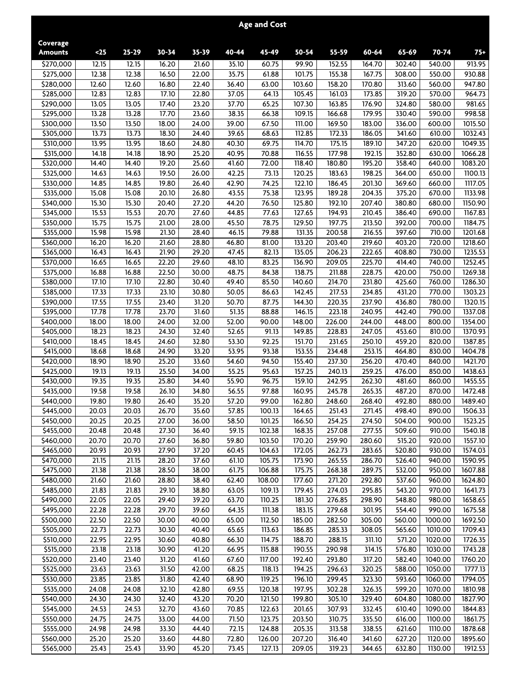|                        |                |                             |                |                |                | <b>Age and Cost</b> |                  |                  |                  |                  |                    |                    |
|------------------------|----------------|-----------------------------|----------------|----------------|----------------|---------------------|------------------|------------------|------------------|------------------|--------------------|--------------------|
| Coverage               |                |                             |                |                |                |                     |                  |                  |                  |                  |                    |                    |
| <b>Amounts</b>         | $25$           | $25 - 29$                   | $30 - 34$      | $35 - 39$      | 40-44          | 45-49               | 50-54            | 55-59            | 60-64            | 65-69            | 70-74              | $75+$              |
| \$270,000              | 12.15          | 12.15                       | 16.20          | 21.60          | 35.10          | 60.75               | 99.90            | 152.55           | 164.70           | 302.40           | 540.00             | 913.95             |
| \$275,000              | 12.38<br>12.60 | 12.38<br>12.60              | 16.50          | 22.00<br>22.40 | 35.75<br>36.40 | 61.88<br>63.00      | 101.75<br>103.60 | 155.38<br>158.20 | 167.75<br>170.80 | 308.00           | 550.00<br>560.00   | 930.88<br>947.80   |
| \$280,000<br>\$285,000 | 12.83          | 12.83                       | 16.80<br>17.10 | 22.80          | 37.05          | 64.13               | 105.45           | 161.03           | 173.85           | 313.60<br>319.20 | 570.00             | 964.73             |
| \$290,000              | 13.05          | 13.05                       | 17.40          | 23.20          | 37.70          | 65.25               | 107.30           | 163.85           | 176.90           | 324.80           | 580.00             | 981.65             |
| \$295,000              | 13.28          | 13.28                       | 17.70          | 23.60          | 38.35          | 66.38               | 109.15           | 166.68           | 179.95           | 330.40           | 590.00             | 998.58             |
| \$300,000              | 13.50          | 13.50                       | 18.00          | 24.00          | 39.00          | 67.50               | 111.00           | 169.50           | 183.00           | 336.00           | 600.00             | 1015.50            |
| \$305,000              | 13.73          | 13.73                       | 18.30          | 24.40          | 39.65          | 68.63               | 112.85           | 172.33           | 186.05           | 341.60           | 610.00             | 1032.43            |
| \$310,000              | 13.95          | 13.95                       | 18.60          | 24.80          | 40.30          | 69.75               | 114.70           | 175.15           | 189.10           | 347.20           | 620.00             | 1049.35            |
| \$315,000              | 14.18          | 14.18                       | 18.90          | 25.20          | 40.95          | 70.88               | 116.55           | 177.98           | 192.15           | 352.80           | 630.00             | 1066.28            |
| \$320,000              | 14.40          | 14.40                       | 19.20          | 25.60          | 41.60          | 72.00               | 118.40           | 180.80           | 195.20           | 358.40           | 640.00             | 1083.20            |
| \$325,000              | 14.63          | 14.63                       | 19.50          | 26.00          | 42.25          | 73.13               | 120.25           | 183.63           | 198.25           | 364.00           | 650.00             | 1100.13            |
| \$330,000              | 14.85<br>15.08 | 14.85                       | 19.80          | 26.40          | 42.90<br>43.55 | 74.25<br>75.38      | 122.10<br>123.95 | 186.45           | 201.30           | 369.60<br>375.20 | 660.00             | 1117.05<br>1133.98 |
| \$335,000<br>\$340,000 | 15.30          | 15.08<br>15.30              | 20.10<br>20.40 | 26.80<br>27.20 | 44.20          | 76.50               | 125.80           | 189.28<br>192.10 | 204.35<br>207.40 | 380.80           | 670.00<br>680.00   | 1150.90            |
| \$345,000              | 15.53          | 15.53                       | 20.70          | 27.60          | 44.85          | 77.63               | 127.65           | 194.93           | 210.45           | 386.40           | 690.00             | 1167.83            |
| \$350,000              | 15.75          | 15.75                       | 21.00          | 28.00          | 45.50          | 78.75               | 129.50           | 197.75           | 213.50           | 392.00           | 700.00             | 1184.75            |
| \$355,000              | 15.98          | 15.98                       | 21.30          | 28.40          | 46.15          | 79.88               | 131.35           | 200.58           | 216.55           | 397.60           | 710.00             | 1201.68            |
| \$360,000              | 16.20          | 16.20                       | 21.60          | 28.80          | 46.80          | 81.00               | 133.20           | 203.40           | 219.60           | 403.20           | 720.00             | 1218.60            |
| \$365,000              | 16.43          | 16.43                       | 21.90          | 29.20          | 47.45          | 82.13               | 135.05           | 206.23           | 222.65           | 408.80           | 730.00             | 1235.53            |
| \$370,000              | 16.65          | 16.65                       | 22.20          | 29.60          | 48.10          | 83.25               | 136.90           | 209.05           | 225.70           | 414.40           | 740.00             | 1252.45            |
| \$375,000              | 16.88          | 16.88                       | 22.50          | 30.00          | 48.75          | 84.38               | 138.75           | 211.88           | 228.75           | 420.00           | 750.00             | 1269.38            |
| \$380,000              | 17.10          | 17.10                       | 22.80          | 30.40          | 49.40          | 85.50               | 140.60           | 214.70           | 231.80           | 425.60           | 760.00             | 1286.30            |
| \$385,000              | 17.33          | 17.33                       | 23.10          | 30.80          | 50.05          | 86.63               | 142.45           | 217.53           | 234.85           | 431.20           | 770.00             | 1303.23            |
| \$390,000              | 17.55<br>17.78 | 17.55<br>17.78              | 23.40<br>23.70 | 31.20<br>31.60 | 50.70<br>51.35 | 87.75<br>88.88      | 144.30<br>146.15 | 220.35<br>223.18 | 237.90<br>240.95 | 436.80<br>442.40 | 780.00<br>790.00   | 1320.15<br>1337.08 |
| \$395,000<br>\$400,000 | 18.00          | 18.00                       | 24.00          | 32.00          | 52.00          | 90.00               | 148.00           | 226.00           | 244.00           | 448.00           | 800.00             | 1354.00            |
| \$405,000              | 18.23          | 18.23                       | 24.30          | 32.40          | 52.65          | 91.13               | 149.85           | 228.83           | 247.05           | 453.60           | 810.00             | 1370.93            |
| \$410,000              | 18.45          | 18.45                       | 24.60          | 32.80          | 53.30          | 92.25               | 151.70           | 231.65           | 250.10           | 459.20           | 820.00             | 1387.85            |
| \$415,000              | 18.68          | 18.68                       | 24.90          | 33.20          | 53.95          | 93.38               | 153.55           | 234.48           | 253.15           | 464.80           | 830.00             | 1404.78            |
| \$420,000              | 18.90          | 18.90                       | 25.20          | 33.60          | 54.60          | 94.50               | 155.40           | 237.30           | 256.20           | 470.40           | 840.00             | 1421.70            |
| $\overline{54}$ 25,000 | 19.13          | 19.13                       | 25.50          | 34.00          | 55.25          | 95.63               | 157.25           | 240.13           | 259.25           | 476.00           | 850.00             | 1438.63            |
| \$430,000              | 19.35          | 19.35                       | 25.80          | 34.40          | 55.90          | 96.75               | 159.10           | 242.95           | 262.30           | 481.60           | 860.00             | 1455.55            |
| \$435,000              | 19.58          | 19.58                       | 26.10          | 34.80          | 56.55          | 97.88               | 160.95           | 245.78           | 265.35           | 487.20           | 870.00             | 1472.48            |
| \$440,000              | 19.80          | 19.80                       | 26.40          | 35.20          | 57.20          | 99.00               | 162.80           | 248.60           | 268.40           | 492.80           | 880.00             | 1489.40            |
| \$445,000              | 20.03          | 20.03                       | 26.70          | 35.60          | 57.85          | 100.13              | 164.65           | 251.43           | 271.45           | 498.40           | 890.00             | 1506.33            |
| \$450,000<br>\$455,000 | 20.25<br>20.48 | 20.25<br>20.48              | 27.00<br>27.30 | 36.00<br>36.40 | 58.50<br>59.15 | 101.25<br>102.38    | 166.50<br>168.35 | 254.25<br>257.08 | 274.50<br>277.55 | 504.00<br>509.60 | 900.00<br>910.00   | 1523.25<br>1540.18 |
| \$460,000              | 20.70          | 20.70                       | 27.60          | 36.80          | 59.80          | 103.50              | 170.20           | 259.90           | 280.60           | 515.20           | 920.00             | 1557.10            |
| \$465,000              | 20.93          | 20.93                       | 27.90          | 37.20          | 60.45          | 104.63              | 172.05           | 262.73           | 283.65           | 520.80           | 930.00             | 1574.03            |
| \$470,000              | 21.15          | 21.15                       | 28.20          | 37.60          | 61.10          | 105.75              | 173.90           | 265.55           | 286.70           | 526.40           | 940.00             | 1590.95            |
| \$475,000              | 21.38          | 21.38                       | 28.50          | 38.00          | 61.75          | 106.88              | 175.75           | 268.38           | 289.75           | 532.00           | 950.00             | 1607.88            |
| \$480,000              | 21.60          | 21.60                       | 28.80          | 38.40          | 62.40          | 108.00              | 177.60           | 271.20           | 292.80           | 537.60           | 960.00             | 1624.80            |
| \$485,000              | 21.83          | 21.83                       | 29.10          | 38.80          | 63.05          | 109.13              | 179.45           | 274.03           | 295.85           | 543.20           | 970.00             | 1641.73            |
| \$490,000              | 22.05          | 22.05                       | 29.40          | 39.20          | 63.70          | 110.25              | 181.30           | 276.85           | 298.90           | 548.80           | 980.00             | 1658.65            |
| \$495,000              | 22.28          | 22.28                       | 29.70          | 39.60          | 64.35          | 111.38              | 183.15           | 279.68           | 301.95           | 554.40           | 990.00             | 1675.58            |
| \$500,000              | 22.50          | 22.50                       | 30.00          | 40.00          | 65.00          | 112.50              | 185.00           | 282.50           | 305.00           | 560.00           | 1000.00            | 1692.50            |
| \$505,000<br>\$510,000 | 22.73<br>22.95 | 22.73<br>22.95              | 30.30<br>30.60 | 40.40<br>40.80 | 65.65<br>66.30 | 113.63<br>114.75    | 186.85<br>188.70 | 285.33<br>288.15 | 308.05<br>311.10 | 565.60<br>571.20 | 1010.00<br>1020.00 | 1709.43<br>1726.35 |
| \$515,000              | 23.18          | 23.18                       | 30.90          | 41.20          | 66.95          | 115.88              | 190.55           | 290.98           | 314.15           | 576.80           | 1030.00            | 1743.28            |
| \$520,000              | 23.40          | 23.40                       | 31.20          | 41.60          | 67.60          | 117.00              | 192.40           | 293.80           | 317.20           | 582.40           | 1040.00            | 1760.20            |
| \$525,000              | 23.63          | 23.63                       | 31.50          | 42.00          | 68.25          | 118.13              | 194.25           | 296.63           | 320.25           | 588.00           | 1050.00            | 1777.13            |
| \$530,000              | 23.85          | 23.85                       | 31.80          | 42.40          | 68.90          | 119.25              | 196.10           | 299.45           | 323.30           | 593.60           | 1060.00            | 1794.05            |
| \$535,000              | 24.08          | 24.08                       | 32.10          | 42.80          | 69.55          | 120.38              | 197.95           | 302.28           | 326.35           | 599.20           | 1070.00            | 1810.98            |
| \$540,000              | 24.30          | 24.30                       | 32.40          | 43.20          | 70.20          | 121.50              | 199.80           | 305.10           | 329.40           | 604.80           | 1080.00            | 1827.90            |
| \$545,000              | 24.53          | 24.53                       | 32.70          | 43.60          | 70.85          | 122.63              | 201.65           | 307.93           | 332.45           | 610.40           | 1090.00            | 1844.83            |
| \$550,000              | 24.75          | 24.75                       | 33.00          | 44.00          | 71.50          | 123.75              | 203.50           | 310.75           | 335.50           | 616.00           | 1100.00            | 1861.75            |
| \$555,000              | 24.98          | 24.98                       | 33.30          | 44.40          | 72.15          | 124.88              | 205.35           | 313.58           | 338.55           | 621.60           | 1110.00            | 1878.68            |
| \$560,000<br>\$565,000 | 25.20<br>25.43 | $\overline{2}5.20$<br>25.43 | 33.60<br>33.90 | 44.80<br>45.20 | 72.80<br>73.45 | 126.00<br>127.13    | 207.20<br>209.05 | 316.40<br>319.23 | 341.60<br>344.65 | 627.20<br>632.80 | 1120.00<br>1130.00 | 1895.60<br>1912.53 |
|                        |                |                             |                |                |                |                     |                  |                  |                  |                  |                    |                    |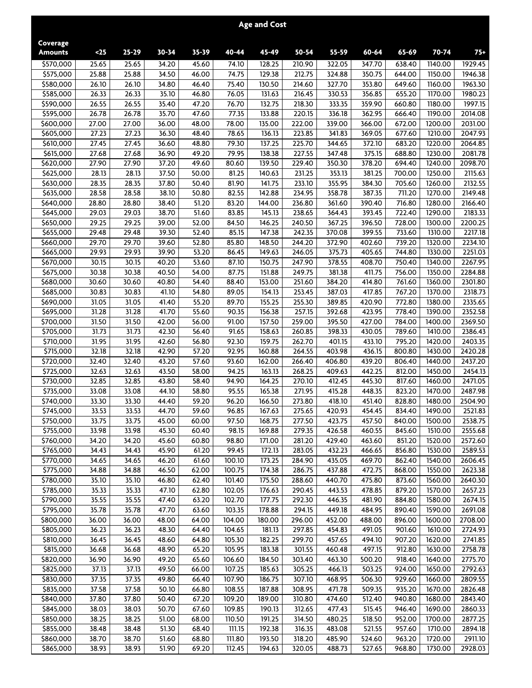|                            |                |                |                |                            |                    | <b>Age and Cost</b> |                  |                  |                  |                  |                    |                    |
|----------------------------|----------------|----------------|----------------|----------------------------|--------------------|---------------------|------------------|------------------|------------------|------------------|--------------------|--------------------|
| Coverage<br><b>Amounts</b> | $25$           | $25 - 29$      | $30 - 34$      | $35 - 39$                  | 40-44              | 45-49               | 50-54            | 55-59            | 60-64            | 65-69            | 70-74              | $75+$              |
| \$570,000                  | 25.65          | 25.65          | 34.20          | 45.60                      | 74.10              | 128.25              | 210.90           | 322.05           | 347.70           | 638.40           | 1140.00            | 1929.45            |
| \$575,000                  | 25.88          | 25.88          | 34.50          | 46.00                      | 74.75              | 129.38              | 212.75           | 324.88           | 350.75           | 644.00           | 1150.00            | 1946.38            |
| \$580,000                  | 26.10          | 26.10          | 34.80          | 46.40                      | 75.40              | 130.50              | 214.60           | 327.70           | 353.80           | 649.60           | 1160.00            | 1963.30            |
| \$585,000                  | 26.33          | 26.33          | 35.10          | 46.80                      | 76.05              | 131.63              | 216.45           | 330.53           | 356.85           | 655.20           | 1170.00            | 1980.23            |
| \$590,000                  | 26.55          | 26.55          | 35.40          | 47.20                      | 76.70              | 132.75              | 218.30           | 333.35           | 359.90           | 660.80           | 1180.00            | 1997.15            |
| \$595,000                  | 26.78          | 26.78          | 35.70          | 47.60                      | 77.35              | 133.88              | 220.15           | 336.18           | 362.95           | 666.40           | 1190.00            | 2014.08            |
| \$600,000                  | 27.00          | 27.00          | 36.00          | 48.00                      | 78.00              | 135.00              | 222.00           | 339.00           | 366.00           | 672.00           | 1200.00            | 2031.00            |
| \$605,000                  | 27.23          | 27.23          | 36.30          | 48.40                      | 78.65              | 136.13              | 223.85           | 341.83           | 369.05           | 677.60<br>683.20 | 1210.00            | 2047.93            |
| \$610,000<br>\$615,000     | 27.45<br>27.68 | 27.45<br>27.68 | 36.60<br>36.90 | 48.80<br>49.20             | 79.30<br>79.95     | 137.25<br>138.38    | 225.70<br>227.55 | 344.65<br>347.48 | 372.10<br>375.15 | 688.80           | 1220.00<br>1230.00 | 2064.85<br>2081.78 |
| \$620,000                  | 27.90          | 27.90          | 37.20          | 49.60                      | 80.60              | 139.50              | 229.40           | 350.30           | 378.20           | 694.40           | 1240.00            | 2098.70            |
| \$625,000                  | 28.13          | 28.13          | 37.50          | 50.00                      | 81.25              | 140.63              | 231.25           | 353.13           | 381.25           | 700.00           | 1250.00            | 2115.63            |
| \$630,000                  | 28.35          | 28.35          | 37.80          | 50.40                      | 81.90              | 141.75              | 233.10           | 355.95           | 384.30           | 705.60           | 1260.00            | 2132.55            |
| \$635,000                  | 28.58          | 28.58          | 38.10          | 50.80                      | 82.55              | 142.88              | 234.95           | 358.78           | 387.35           | 711.20           | 1270.00            | 2149.48            |
| \$640,000                  | 28.80          | 28.80          | 38.40          | 51.20                      | 83.20              | 144.00              | 236.80           | 361.60           | 390.40           | 716.80           | 1280.00            | 2166.40            |
| \$645,000                  | 29.03          | 29.03          | 38.70          | 51.60                      | 83.85              | 145.13              | 238.65           | 364.43           | 393.45           | 722.40           | 1290.00            | 2183.33            |
| \$650,000                  | 29.25          | 29.25          | 39.00          | 52.00                      | 84.50              | 146.25              | 240.50           | 367.25           | 396.50           | 728.00           | 1300.00            | 2200.25            |
| \$655,000                  | 29.48          | 29.48          | 39.30          | 52.40                      | 85.15              | 147.38              | 242.35           | 370.08           | 399.55           | 733.60           | 1310.00            | 2217.18            |
| \$660,000                  | 29.70          | 29.70          | 39.60          | 52.80                      | 85.80              | 148.50              | 244.20           | 372.90           | 402.60           | 739.20           | 1320.00            | 2234.10            |
| \$665,000                  | 29.93          | 29.93          | 39.90          | 53.20                      | 86.45              | 149.63              | 246.05           | 375.73           | 405.65           | 744.80           | 1330.00            | 2251.03            |
| \$670,000                  | 30.15          | 30.15          | 40.20          | 53.60                      | 87.10              | 150.75              | 247.90           | 378.55           | 408.70           | 750.40           | 1340.00            | 2267.95            |
| \$675,000                  | 30.38          | 30.38          | 40.50          | 54.00                      | 87.75              | 151.88              | 249.75           | 381.38           | 411.75           | 756.00           | 1350.00            | 2284.88            |
| \$680,000<br>\$685,000     | 30.60<br>30.83 | 30.60<br>30.83 | 40.80<br>41.10 | 54.40<br>$\frac{1}{54.80}$ | 88.40<br>89.05     | 153.00<br>154.13    | 251.60<br>253.45 | 384.20<br>387.03 | 414.80<br>417.85 | 761.60<br>767.20 | 1360.00<br>1370.00 | 2301.80<br>2318.73 |
| \$690,000                  | 31.05          | 31.05          | 41.40          | 55.20                      | 89.70              | 155.25              | 255.30           | 389.85           | 420.90           | 772.80           | 1380.00            | 2335.65            |
| \$695,000                  | 31.28          | 31.28          | 41.70          | 55.60                      | 90.35              | 156.38              | 257.15           | 392.68           | 423.95           | 778.40           | 1390.00            | 2352.58            |
| \$700,000                  | 31.50          | 31.50          | 42.00          | 56.00                      | 91.00              | 157.50              | 259.00           | 395.50           | 427.00           | 784.00           | 1400.00            | 2369.50            |
| \$705,000                  | 31.73          | 31.73          | 42.30          | 56.40                      | $\overline{91.65}$ | 158.63              | 260.85           | 398.33           | 430.05           | 789.60           | 1410.00            | 2386.43            |
| \$710,000                  | 31.95          | 31.95          | 42.60          | 56.80                      | 92.30              | 159.75              | 262.70           | 401.15           | 433.10           | 795.20           | 1420.00            | 2403.35            |
| \$715,000                  | 32.18          | 32.18          | 42.90          | 57.20                      | 92.95              | 160.88              | 264.55           | 403.98           | 436.15           | 800.80           | 1430.00            | 2420.28            |
| \$720,000                  | 32.40          | 32.40          | 43.20          | 57.60                      | 93.60              | 162.00              | 266.40           | 406.80           | 439.20           | 806.40           | 1440.00            | 2437.20            |
| \$725,000                  | 32.63          | 32.63          | 43.50          | 58.00                      | 94.25              | 163.13              | 268.25           | 409.63           | 442.25           | 812.00           | 1450.00            | 2454.13            |
| \$730,000                  | 32.85          | 32.85          | 43.80          | 58.40                      | 94.90              | 164.25              | 270.10           | 412.45           | 445.30           | 817.60           | 1460.00            | 2471.05            |
| \$735,000                  | 33.08          | 33.08          | 44.10          | 58.80                      | 95.55              | 165.38              | 271.95           | 415.28           | 448.35           | 823.20           | 1470.00            | 2487.98            |
| \$740,000                  | 33.30          | 33.30          | 44.40          | 59.20                      | 96.20              | 166.50              | 273.80           | 418.10           | 451.40           | 828.80           | 1480.00            | 2504.90            |
| \$745,000<br>\$750,000     | 33.53<br>33.75 | 33.53<br>33.75 | 44.70<br>45.00 | 59.60<br>60.00             | 96.85<br>97.50     | 167.63<br>168.75    | 275.65<br>277.50 | 420.93<br>423.75 | 454.45<br>457.50 | 834.40<br>840.00 | 1490.00<br>1500.00 | 2521.83<br>2538.75 |
| \$755,000                  | 33.98          | 33.98          | 45.30          | 60.40                      | 98.15              | 169.88              | 279.35           | 426.58           | 460.55           | 845.60           | 1510.00            | 2555.68            |
| \$760,000                  | 34.20          | 34.20          | 45.60          | 60.80                      | 98.80              | 171.00              | 281.20           | 429.40           | 463.60           | 851.20           | 1520.00            | 2572.60            |
| \$765,000                  | 34.43          | 34.43          | 45.90          | 61.20                      | 99.45              | 172.13              | 283.05           | 432.23           | 466.65           | 856.80           | 1530.00            | 2589.53            |
| \$770,000                  | 34.65          | 34.65          | 46.20          | 61.60                      | 100.10             | 173.25              | 284.90           | 435.05           | 469.70           | 862.40           | 1540.00            | 2606.45            |
| \$775,000                  | 34.88          | 34.88          | 46.50          | 62.00                      | 100.75             | 174.38              | 286.75           | 437.88           | 472.75           | 868.00           | 1550.00            | 2623.38            |
| \$780,000                  | 35.10          | 35.10          | 46.80          | 62.40                      | 101.40             | 175.50              | 288.60           | 440.70           | 475.80           | 873.60           | 1560.00            | 2640.30            |
| \$785,000                  | 35.33          | 35.33          | 47.10          | 62.80                      | 102.05             | 176.63              | 290.45           | 443.53           | 478.85           | 879.20           | 1570.00            | 2657.23            |
| \$790,000                  | 35.55          | 35.55          | 47.40          | 63.20                      | 102.70             | 177.75              | 292.30           | 446.35           | 481.90           | 884.80           | 1580.00            | 2674.15            |
| \$795,000                  | 35.78          | 35.78          | 47.70          | 63.60                      | 103.35             | 178.88              | 294.15           | 449.18           | 484.95           | 890.40           | 1590.00            | 2691.08            |
| \$800,000                  | 36.00          | 36.00          | 48.00          | 64.00                      | 104.00             | 180.00              | 296.00           | 452.00           | 488.00           | 896.00           | 1600.00            | 2708.00            |
| \$805,000                  | 36.23          | 36.23          | 48.30          | 64.40                      | 104.65             | 181.13              | 297.85           | 454.83           | 491.05           | 901.60           | 1610.00            | 2724.93            |
| \$810,000<br>\$815,000     | 36.45<br>36.68 | 36.45<br>36.68 | 48.60<br>48.90 | 64.80<br>65.20             | 105.30<br>105.95   | 182.25<br>183.38    | 299.70<br>301.55 | 457.65<br>460.48 | 494.10<br>497.15 | 907.20<br>912.80 | 1620.00<br>1630.00 | 2741.85            |
| \$820,000                  | 36.90          | 36.90          | 49.20          | 65.60                      | 106.60             | 184.50              | 303.40           | 463.30           | 500.20           | 918.40           | 1640.00            | 2758.78<br>2775.70 |
| \$825,000                  | 37.13          | 37.13          | 49.50          | 66.00                      | 107.25             | 185.63              | 305.25           | 466.13           | 503.25           | 924.00           | 1650.00            | 2792.63            |
| \$830,000                  | 37.35          | 37.35          | 49.80          | 66.40                      | 107.90             | 186.75              | 307.10           | 468.95           | 506.30           | 929.60           | 1660.00            | 2809.55            |
| \$835,000                  | 37.58          | 37.58          | 50.10          | 66.80                      | 108.55             | 187.88              | 308.95           | 471.78           | 509.35           | 935.20           | 1670.00            | 2826.48            |
| \$840,000                  | 37.80          | 37.80          | 50.40          | 67.20                      | 109.20             | 189.00              | 310.80           | 474.60           | 512.40           | 940.80           | 1680.00            | 2843.40            |
| \$845,000                  | 38.03          | 38.03          | 50.70          | 67.60                      | 109.85             | 190.13              | 312.65           | 477.43           | 515.45           | 946.40           | 1690.00            | 2860.33            |
| \$850,000                  | 38.25          | 38.25          | 51.00          | 68.00                      | 110.50             | 191.25              | 314.50           | 480.25           | 518.50           | 952.00           | 1700.00            | 2877.25            |
| \$855,000                  | 38.48          | 38.48          | 51.30          | 68.40                      | 111.15             | 192.38              | 316.35           | 483.08           | 521.55           | 957.60           | 1710.00            | 2894.18            |
| \$860,000                  | 38.70          | 38.70          | 51.60          | 68.80                      | 111.80             | 193.50              | 318.20           | 485.90           | 524.60           | 963.20           | 1720.00            | 2911.10            |
| \$865,000                  | 38.93          | 38.93          | 51.90          | 69.20                      | 112.45             | 194.63              | 320.05           | 488.73           | 527.65           | 968.80           | 1730.00            | 2928.03            |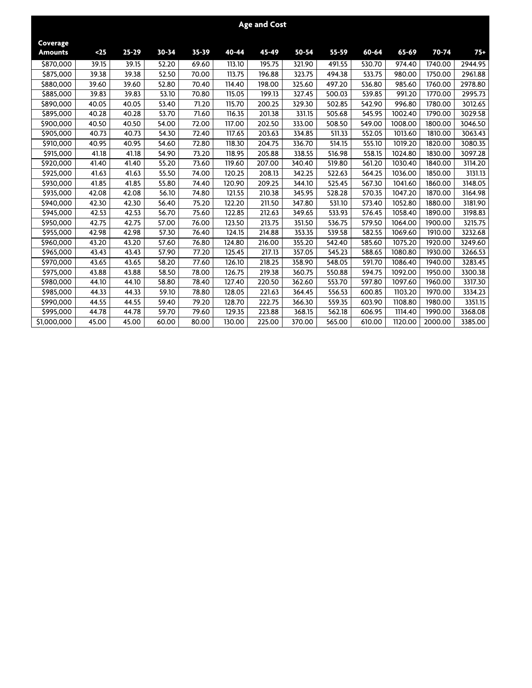|                            |       |           |           |           |        | <b>Age and Cost</b> |        |        |                     |         |         |         |
|----------------------------|-------|-----------|-----------|-----------|--------|---------------------|--------|--------|---------------------|---------|---------|---------|
| Coverage<br><b>Amounts</b> | $25$  | $25 - 29$ | $30 - 34$ | $35 - 39$ | 40-44  | 45-49               | 50-54  | 55-59  | 60-64               | 65-69   | 70-74   | $75+$   |
| \$870,000                  | 39.15 | 39.15     | 52.20     | 69.60     | 113.10 | 195.75              | 321.90 | 491.55 | 530.70              | 974.40  | 1740.00 | 2944.95 |
| \$875,000                  | 39.38 | 39.38     | 52.50     | 70.00     | 113.75 | 196.88              | 323.75 | 494.38 | 533.75              | 980.00  | 1750.00 | 2961.88 |
| \$880,000                  | 39.60 | 39.60     | 52.80     | 70.40     | 114.40 | 198.00              | 325.60 | 497.20 | 536.80              | 985.60  | 1760.00 | 2978.80 |
| \$885,000                  | 39.83 | 39.83     | 53.10     | 70.80     | 115.05 | 199.13              | 327.45 | 500.03 | $\overline{539.85}$ | 991.20  | 1770.00 | 2995.73 |
| \$890,000                  | 40.05 | 40.05     | 53.40     | 71.20     | 115.70 | 200.25              | 329.30 | 502.85 | 542.90              | 996.80  | 1780.00 | 3012.65 |
| \$895,000                  | 40.28 | 40.28     | 53.70     | 71.60     | 116.35 | 201.38              | 331.15 | 505.68 | 545.95              | 1002.40 | 1790.00 | 3029.58 |
| \$900,000                  | 40.50 | 40.50     | 54.00     | 72.00     | 117.00 | 202.50              | 333.00 | 508.50 | 549.00              | 1008.00 | 1800.00 | 3046.50 |
| \$905,000                  | 40.73 | 40.73     | 54.30     | 72.40     | 117.65 | 203.63              | 334.85 | 511.33 | 552.05              | 1013.60 | 1810.00 | 3063.43 |
| \$910,000                  | 40.95 | 40.95     | 54.60     | 72.80     | 118.30 | 204.75              | 336.70 | 514.15 | 555.10              | 1019.20 | 1820.00 | 3080.35 |
| \$915,000                  | 41.18 | 41.18     | 54.90     | 73.20     | 118.95 | 205.88              | 338.55 | 516.98 | 558.15              | 1024.80 | 1830.00 | 3097.28 |
| \$920,000                  | 41.40 | 41.40     | 55.20     | 73.60     | 119.60 | 207.00              | 340.40 | 519.80 | 561.20              | 1030.40 | 1840.00 | 3114.20 |
| \$925,000                  | 41.63 | 41.63     | 55.50     | 74.00     | 120.25 | 208.13              | 342.25 | 522.63 | 564.25              | 1036.00 | 1850.00 | 3131.13 |
| \$930,000                  | 41.85 | 41.85     | 55.80     | 74.40     | 120.90 | 209.25              | 344.10 | 525.45 | 567.30              | 1041.60 | 1860.00 | 3148.05 |
| \$935,000                  | 42.08 | 42.08     | 56.10     | 74.80     | 121.55 | 210.38              | 345.95 | 528.28 | 570.35              | 1047.20 | 1870.00 | 3164.98 |
| \$940,000                  | 42.30 | 42.30     | 56.40     | 75.20     | 122.20 | 211.50              | 347.80 | 531.10 | 573.40              | 1052.80 | 1880.00 | 3181.90 |
| \$945,000                  | 42.53 | 42.53     | 56.70     | 75.60     | 122.85 | 212.63              | 349.65 | 533.93 | 576.45              | 1058.40 | 1890.00 | 3198.83 |
| \$950,000                  | 42.75 | 42.75     | 57.00     | 76.00     | 123.50 | 213.75              | 351.50 | 536.75 | 579.50              | 1064.00 | 1900.00 | 3215.75 |
| \$955,000                  | 42.98 | 42.98     | 57.30     | 76.40     | 124.15 | 214.88              | 353.35 | 539.58 | 582.55              | 1069.60 | 1910.00 | 3232.68 |
| \$960,000                  | 43.20 | 43.20     | 57.60     | 76.80     | 124.80 | 216.00              | 355.20 | 542.40 | 585.60              | 1075.20 | 1920.00 | 3249.60 |
| \$965,000                  | 43.43 | 43.43     | 57.90     | 77.20     | 125.45 | 217.13              | 357.05 | 545.23 | 588.65              | 1080.80 | 1930.00 | 3266.53 |
| \$970,000                  | 43.65 | 43.65     | 58.20     | 77.60     | 126.10 | 218.25              | 358.90 | 548.05 | 591.70              | 1086.40 | 1940.00 | 3283.45 |
| \$975,000                  | 43.88 | 43.88     | 58.50     | 78.00     | 126.75 | 219.38              | 360.75 | 550.88 | 594.75              | 1092.00 | 1950.00 | 3300.38 |
| \$980,000                  | 44.10 | 44.10     | 58.80     | 78.40     | 127.40 | 220.50              | 362.60 | 553.70 | 597.80              | 1097.60 | 1960.00 | 3317.30 |
| \$985,000                  | 44.33 | 44.33     | 59.10     | 78.80     | 128.05 | 221.63              | 364.45 | 556.53 | 600.85              | 1103.20 | 1970.00 | 3334.23 |
| \$990,000                  | 44.55 | 44.55     | 59.40     | 79.20     | 128.70 | 222.75              | 366.30 | 559.35 | 603.90              | 1108.80 | 1980.00 | 3351.15 |
| \$995,000                  | 44.78 | 44.78     | 59.70     | 79.60     | 129.35 | 223.88              | 368.15 | 562.18 | 606.95              | 1114.40 | 1990.00 | 3368.08 |
| \$1,000,000                | 45.00 | 45.00     | 60.00     | 80.00     | 130.00 | 225.00              | 370.00 | 565.00 | 610.00              | 1120.00 | 2000.00 | 3385.00 |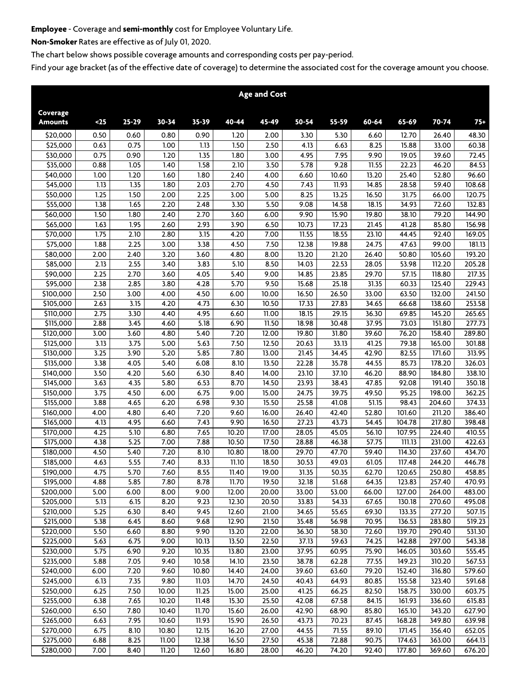## **Employee - Coverage and semi-monthly cost for Employee Voluntary Life.**

**Non-Smoker Rates are effective as of July 01, 2020.**

**The chart below shows possible coverage amounts and corresponding costs per pay-period.**

|                            |              |              |              |              |                    | <b>Age and Cost</b> |                |                |                |                  |                  |                  |
|----------------------------|--------------|--------------|--------------|--------------|--------------------|---------------------|----------------|----------------|----------------|------------------|------------------|------------------|
| Coverage<br><b>Amounts</b> | $25$         | $25 - 29$    | $30 - 34$    | 35-39        | 40-44              | 45-49               | 50-54          | 55-59          | 60-64          | 65-69            | 70-74            | $75+$            |
| \$20,000                   | 0.50         | 0.60         | 0.80         | 0.90         | 1.20               | 2.00                | 3.30           | 5.30           | 6.60           | 12.70            | 26.40            | 48.30            |
| \$25,000                   | 0.63         | 0.75         | 1.00         | 1.13         | 1.50               | 2.50                | 4.13           | 6.63           | 8.25           | 15.88            | 33.00            | 60.38            |
| $\overline{$}30,000$       | 0.75         | 0.90         | 1.20         | 1.35         | 1.80               | 3.00                | 4.95           | 7.95           | 9.90           | 19.05            | 39.60            | 72.45            |
| $\overline{$}35,000$       | 0.88         | 1.05         | 1.40         | 1.58         | 2.10               | 3.50                | 5.78           | 9.28           | 11.55          | 22.23            | 46.20            | 84.53            |
| \$40,000                   | 1.00         | 1.20         | 1.60         | 1.80         | 2.40               | 4.00                | 6.60           | 10.60          | 13.20          | 25.40            | 52.80            | 96.60            |
| \$45,000                   | 1.13         | 1.35         | 1.80         | 2.03         | 2.70               | 4.50                | 7.43           | 11.93          | 14.85          | 28.58            | 59.40            | 108.68           |
| \$50,000                   | 1.25         | 1.50         | 2.00         | 2.25         | 3.00               | 5.00                | 8.25           | 13.25          | 16.50          | 31.75            | 66.00            | 120.75           |
| \$55,000                   | 1.38         | 1.65         | 2.20         | 2.48         | 3.30               | 5.50                | 9.08           | 14.58          | 18.15          | 34.93            | 72.60            | 132.83           |
| \$60,000                   | 1.50         | 1.80         | 2.40         | 2.70         | 3.60               | 6.00                | 9.90           | 15.90          | 19.80          | 38.10            | 79.20            | 144.90           |
| \$65,000                   | 1.63         | 1.95         | 2.60         | 2.93         | 3.90               | 6.50                | 10.73          | 17.23          | 21.45          | 41.28            | 85.80            | 156.98           |
| \$70,000                   | 1.75         | 2.10         | 2.80         | 3.15         | 4.20               | 7.00                | 11.55          | 18.55          | 23.10          | 44.45            | 92.40            | 169.05           |
| \$75,000                   | 1.88         | 2.25         | 3.00         | 3.38         | 4.50               | 7.50                | 12.38          | 19.88          | 24.75          | 47.63            | 99.00            | 181.13           |
| \$80,000                   | 2.00         | 2.40         | 3.20         | 3.60         | 4.80               | 8.00                | 13.20          | 21.20          | 26.40          | 50.80            | 105.60           | 193.20           |
| \$85,000<br>\$90,000       | 2.13<br>2.25 | 2.55<br>2.70 | 3.40<br>3.60 | 3.83<br>4.05 | 5.10<br>5.40       | 8.50<br>9.00        | 14.03<br>14.85 | 22.53<br>23.85 | 28.05<br>29.70 | 53.98<br>57.15   | 112.20<br>118.80 | 205.28<br>217.35 |
| \$95,000                   | 2.38         | 2.85         | 3.80         | 4.28         | 5.70               | 9.50                | 15.68          | 25.18          | 31.35          | 60.33            | 125.40           | 229.43           |
| \$100,000                  | 2.50         | 3.00         | 4.00         | 4.50         | 6.00               | 10.00               | 16.50          | 26.50          | 33.00          | 63.50            | 132.00           | 241.50           |
| \$105,000                  | 2.63         | 3.15         | 4.20         | 4.73         | 6.30               | 10.50               | 17.33          | 27.83          | 34.65          | 66.68            | 138.60           | 253.58           |
| $\overline{$}310,000$      | 2.75         | 3.30         | 4.40         | 4.95         | 6.60               | 11.00               | 18.15          | 29.15          | 36.30          | 69.85            | 145.20           | 265.65           |
| \$115,000                  | 2.88         | 3.45         | 4.60         | 5.18         | 6.90               | 11.50               | 18.98          | 30.48          | 37.95          | 73.03            | 151.80           | 277.73           |
| \$120,000                  | 3.00         | 3.60         | 4.80         | 5.40         | 7.20               | 12.00               | 19.80          | 31.80          | 39.60          | 76.20            | 158.40           | 289.80           |
| $\overline{$}125,000$      | 3.13         | 3.75         | 5.00         | 5.63         | 7.50               | 12.50               | 20.63          | 33.13          | 41.25          | 79.38            | 165.00           | 301.88           |
| \$130,000                  | 3.25         | 3.90         | 5.20         | 5.85         | 7.80               | 13.00               | 21.45          | 34.45          | 42.90          | 82.55            | 171.60           | 313.95           |
| \$135,000                  | 3.38         | 4.05         | 5.40         | 6.08         | 8.10               | 13.50               | 22.28          | 35.78          | 44.55          | 85.73            | 178.20           | 326.03           |
| \$140,000                  | 3.50         | 4.20         | 5.60         | 6.30         | 8.40               | 14.00               | 23.10          | 37.10          | 46.20          | 88.90            | 184.80           | 338.10           |
| \$145,000                  | 3.63         | 4.35         | 5.80         | 6.53         | 8.70               | 14.50               | 23.93          | 38.43          | 47.85          | 92.08            | 191.40           | 350.18           |
| \$150,000                  | 3.75         | 4.50         | 6.00         | 6.75         | 9.00               | 15.00               | 24.75          | 39.75          | 49.50          | 95.25            | 198.00           | 362.25           |
| \$155,000                  | 3.88         | 4.65         | 6.20         | 6.98         | 9.30               | 15.50               | 25.58          | 41.08          | 51.15          | 98.43            | 204.60           | 374.33           |
| \$160,000                  | 4.00         | 4.80         | 6.40         | 7.20         | 9.60               | 16.00               | 26.40          | 42.40          | 52.80          | 101.60           | 211.20           | 386.40           |
| \$165,000                  | 4.13         | 4.95         | 6.60         | 7.43         | 9.90               | 16.50               | 27.23          | 43.73          | 54.45          | 104.78           | 217.80           | 398.48           |
| \$170,000                  | 4.25         | 5.10         | 6.80         | 7.65         | 10.20              | 17.00               | 28.05          | 45.05          | 56.10          | 107.95           | 224.40           | 410.55           |
| \$175,000                  | 4.38         | 5.25         | 7.00         | 7.88         | 10.50              | 17.50               | 28.88          | 46.38          | 57.75          | 111.13           | 231.00           | 422.63           |
| \$180,000                  | 4.50         | 5.40         | 7.20         | 8.10         | 10.80              | 18.00               | 29.70          | 47.70          | 59.40          | 114.30           | 237.60           | 434.70           |
| \$185,000                  | 4.63         | 5.55         | 7.40         | 8.33         | 11.10              | 18.50               | 30.53          | 49.03          | 61.05          | 117.48           | 244.20           | 446.78           |
| \$190,000                  | 4.75         | 5.70         | 7.60         | 8.55         | $\overline{11.40}$ | 19.00               | 31.35          | 50.35          | 62.70          | 120.65           | 250.80           | 458.85           |
| \$195,000                  | 4.88         | 5.85         | 7.80         | 8.78         | 11.70              | 19.50               | 32.18          | 51.68          | 64.35          | 123.83           | 257.40           | 470.93           |
| \$200,000                  | 5.00         | 6.00         | 8.00         | 9.00         | 12.00              | 20.00               | 33.00          | 53.00          | 66.00          | 127.00           | 264.00           | 483.00           |
| \$205,000                  | 5.13         | 6.15         | 8.20         | 9.23         | 12.30              | 20.50               | 33.83          | 54.33          | 67.65          | 130.18           | 270.60           | 495.08           |
| \$210,000                  | 5.25         | 6.30         | 8.40<br>8.60 | 9.45<br>9.68 | 12.60              | 21.00               | 34.65          | 55.65          | 69.30<br>70.95 | 133.35           | 277.20           | 507.15           |
| \$215,000<br>\$220,000     | 5.38<br>5.50 | 6.45<br>6.60 | 8.80         | 9.90         | 12.90<br>13.20     | 21.50<br>22.00      | 35.48<br>36.30 | 56.98<br>58.30 | 72.60          | 136.53<br>139.70 | 283.80<br>290.40 | 519.23<br>531.30 |
| \$225,000                  | 5.63         | 6.75         | 9.00         | 10.13        | 13.50              | 22.50               | 37.13          | 59.63          | 74.25          | 142.88           | 297.00           | 543.38           |
| \$230,000                  | 5.75         | 6.90         | 9.20         | 10.35        | 13.80              | 23.00               | 37.95          | 60.95          | 75.90          | 146.05           | 303.60           | 555.45           |
| \$235,000                  | 5.88         | 7.05         | 9.40         | 10.58        | 14.10              | 23.50               | 38.78          | 62.28          | 77.55          | 149.23           | 310.20           | 567.53           |
| \$240,000                  | 6.00         | 7.20         | 9.60         | 10.80        | 14.40              | 24.00               | 39.60          | 63.60          | 79.20          | 152.40           | 316.80           | 579.60           |
| \$245,000                  | 6.13         | 7.35         | 9.80         | 11.03        | 14.70              | 24.50               | 40.43          | 64.93          | 80.85          | 155.58           | 323.40           | 591.68           |
| \$250,000                  | 6.25         | 7.50         | 10.00        | 11.25        | 15.00              | 25.00               | 41.25          | 66.25          | 82.50          | 158.75           | 330.00           | 603.75           |
| \$255,000                  | 6.38         | 7.65         | 10.20        | 11.48        | 15.30              | 25.50               | 42.08          | 67.58          | 84.15          | 161.93           | 336.60           | 615.83           |
| \$260,000                  | 6.50         | 7.80         | 10.40        | 11.70        | 15.60              | 26.00               | 42.90          | 68.90          | 85.80          | 165.10           | 343.20           | 627.90           |
| \$265,000                  | 6.63         | 7.95         | 10.60        | 11.93        | 15.90              | 26.50               | 43.73          | 70.23          | 87.45          | 168.28           | 349.80           | 639.98           |
| \$270,000                  | 6.75         | 8.10         | 10.80        | 12.15        | 16.20              | 27.00               | 44.55          | 71.55          | 89.10          | 171.45           | 356.40           | 652.05           |
| \$275,000                  | 6.88         | 8.25         | 11.00        | 12.38        | 16.50              | 27.50               | 45.38          | 72.88          | 90.75          | 174.63           | 363.00           | 664.13           |
| \$280,000                  | 7.00         | 8.40         | 11.20        | 12.60        | 16.80              | 28.00               | 46.20          | 74.20          | 92.40          | 177.80           | 369.60           | 676.20           |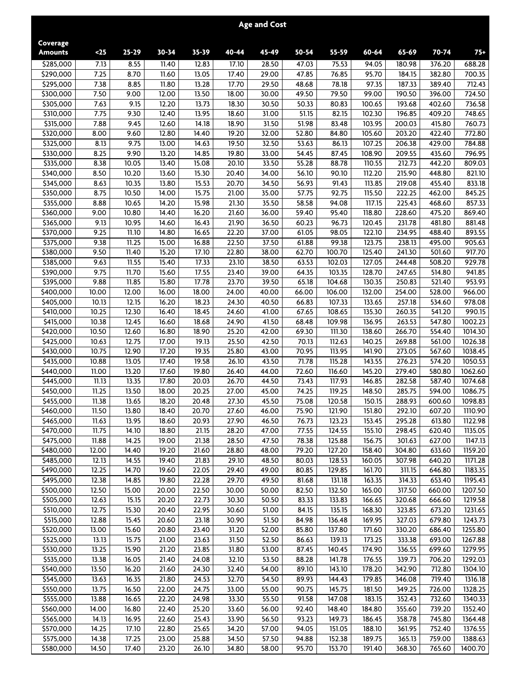|                            |                |                |                |                    |                | <b>Age and Cost</b> |                    |                  |                  |                  |                  |                    |
|----------------------------|----------------|----------------|----------------|--------------------|----------------|---------------------|--------------------|------------------|------------------|------------------|------------------|--------------------|
| Coverage<br><b>Amounts</b> | $25$           | $25 - 29$      | $30 - 34$      | 35-39              | 40-44          | 45-49               | 50-54              | 55-59            | 60-64            | 65-69            | $70 - 74$        | $75+$              |
| \$285,000                  | 7.13           | 8.55           | 11.40          | 12.83              | 17.10          | 28.50               | 47.03              | 75.53            | 94.05            | 180.98           | 376.20           | 688.28             |
| \$290,000                  | 7.25           | 8.70           | 11.60          | 13.05              | 17.40          | 29.00               | 47.85              | 76.85            | 95.70            | 184.15           | 382.80           | 700.35             |
| \$295,000                  | 7.38           | 8.85           | 11.80          | 13.28              | 17.70          | 29.50               | 48.68              | 78.18            | 97.35            | 187.33           | 389.40           | 712.43             |
| \$300,000                  | 7.50           | 9.00           | 12.00          | 13.50              | 18.00          | 30.00               | 49.50              | 79.50            | 99.00            | 190.50           | 396.00           | 724.50             |
| \$305,000                  | 7.63           | 9.15           | 12.20          | 13.73              | 18.30          | 30.50               | 50.33              | 80.83            | 100.65           | 193.68           | 402.60           | 736.58             |
| \$310,000                  | 7.75           | 9.30           | 12.40          | 13.95              | 18.60          | 31.00               | 51.15              | 82.15            | 102.30           | 196.85           | 409.20           | 748.65             |
| \$315,000                  | 7.88           | 9.45           | 12.60          | 14.18              | 18.90          | 31.50               | 51.98              | 83.48            | 103.95           | 200.03           | 415.80           | 760.73             |
| \$320,000                  | 8.00           | 9.60           | 12.80          | 14.40              | 19.20          | 32.00               | 52.80              | 84.80            | 105.60           | 203.20           | 422.40           | 772.80             |
| \$325,000                  | 8.13           | 9.75           | 13.00          | $\overline{14.63}$ | 19.50          | 32.50               | 53.63              | 86.13            | 107.25           | 206.38           | 429.00           | 784.88             |
| \$330,000                  | 8.25           | 9.90           | 13.20          | $\overline{14.85}$ | 19.80          | 33.00               | 54.45              | 87.45            | 108.90           | 209.55           | 435.60           | 796.95             |
| \$335,000                  | 8.38           | 10.05          | 13.40          | 15.08              | 20.10          | 33.50               | 55.28              | 88.78            | 110.55           | 212.73           | 442.20           | 809.03             |
| \$340,000                  | 8.50           | 10.20          | 13.60          | 15.30              | 20.40          | 34.00               | 56.10              | 90.10            | 112.20           | 215.90           | 448.80           | 821.10             |
| \$345,000                  | 8.63           | 10.35          | 13.80          | 15.53              | 20.70          | 34.50               | 56.93              | 91.43            | 113.85           | 219.08           | 455.40           | 833.18             |
| \$350,000                  | 8.75           | 10.50          | 14.00          | 15.75              | 21.00          | 35.00               | $\overline{57.75}$ | 92.75            | 115.50           | 222.25           | 462.00           | 845.25             |
| \$355,000                  | 8.88           | 10.65          | 14.20          | 15.98              | 21.30          | 35.50               | 58.58              | 94.08            | 117.15           | 225.43           | 468.60           | 857.33             |
| \$360,000                  | 9.00           | 10.80          | 14.40          | 16.20              | 21.60          | 36.00               | 59.40              | 95.40            | 118.80           | 228.60           | 475.20           | 869.40             |
| \$365,000<br>\$370,000     | 9.13<br>9.25   | 10.95<br>11.10 | 14.60<br>14.80 | 16.43<br>16.65     | 21.90<br>22.20 | 36.50<br>37.00      | 60.23<br>61.05     | 96.73<br>98.05   | 120.45<br>122.10 | 231.78           | 481.80<br>488.40 | 881.48             |
|                            | 9.38           | 11.25          |                | 16.88              | 22.50          | 37.50               | 61.88              |                  | 123.75           | 234.95<br>238.13 |                  | 893.55<br>905.63   |
| \$375,000<br>\$380,000     | 9.50           | 11.40          | 15.00<br>15.20 | 17.10              | 22.80          | 38.00               | 62.70              | 99.38<br>100.70  | 125.40           | 241.30           | 495.00<br>501.60 | 917.70             |
| \$385,000                  | 9.63           | 11.55          | 15.40          | 17.33              | 23.10          | 38.50               | 63.53              | 102.03           | 127.05           | 244.48           | 508.20           | 929.78             |
| \$390,000                  | 9.75           | 11.70          | 15.60          | 17.55              | 23.40          | 39.00               | 64.35              | 103.35           | 128.70           | 247.65           | 514.80           | 941.85             |
| \$395,000                  | 9.88           | 11.85          | 15.80          | 17.78              | 23.70          | 39.50               | 65.18              | 104.68           | 130.35           | 250.83           | 521.40           | 953.93             |
| \$400,000                  | 10.00          | 12.00          | 16.00          | 18.00              | 24.00          | 40.00               | 66.00              | 106.00           | 132.00           | 254.00           | 528.00           | 966.00             |
| \$405,000                  | 10.13          | 12.15          | 16.20          | 18.23              | 24.30          | 40.50               | 66.83              | 107.33           | 133.65           | 257.18           | 534.60           | 978.08             |
| \$410,000                  | 10.25          | 12.30          | 16.40          | 18.45              | 24.60          | 41.00               | 67.65              | 108.65           | 135.30           | 260.35           | 541.20           | 990.15             |
| \$415,000                  | 10.38          | 12.45          | 16.60          | 18.68              | 24.90          | 41.50               | 68.48              | 109.98           | 136.95           | 263.53           | 547.80           | 1002.23            |
| \$420,000                  | 10.50          | 12.60          | 16.80          | 18.90              | 25.20          | 42.00               | 69.30              | 111.30           | 138.60           | 266.70           | 554.40           | 1014.30            |
| $\overline{5}$ 425,000     | 10.63          | 12.75          | 17.00          | 19.13              | 25.50          | 42.50               | 70.13              | 112.63           | 140.25           | 269.88           | 561.00           | 1026.38            |
| \$430,000                  | 10.75          | 12.90          | 17.20          | 19.35              | 25.80          | 43.00               | 70.95              | 113.95           | 141.90           | 273.05           | 567.60           | 1038.45            |
| \$435,000                  | 10.88          | 13.05          | 17.40          | 19.58              | 26.10          | 43.50               | 71.78              | 115.28           | 143.55           | 276.23           | 574.20           | 1050.53            |
| \$440,000                  | 11.00          | 13.20          | 17.60          | 19.80              | 26.40          | 44.00               | 72.60              | 116.60           | 145.20           | 279.40           | 580.80           | 1062.60            |
| \$445,000                  | 11.13          | 13.35          | 17.80          | 20.03              | 26.70          | 44.50               | 73.43              | 117.93           | 146.85           | 282.58           | 587.40           | 1074.68            |
| \$450,000                  | 11.25          | 13.50          | 18.00          | 20.25              | 27.00          | 45.00               | 74.25              | 119.25           | 148.50           | 285.75           | 594.00           | 1086.75            |
| \$455,000                  | 11.38          | 13.65          | 18.20          | 20.48              | 27.30          | 45.50               | 75.08              | 120.58           | 150.15           | 288.93           | 600.60           | 1098.83            |
| \$460,000                  | 11.50          | 13.80          | 18.40          | 20.70              | 27.60          | 46.00               | 75.90              | 121.90           | 151.80           | 292.10           | 607.20           | 1110.90            |
| \$465,000                  | 11.63          | 13.95          | 18.60          | 20.93              | 27.90          | 46.50               | 76.73              | 123.23           | 153.45           | 295.28           | 613.80           | 1122.98            |
| \$470,000                  | 11.75          | 14.10          | 18.80          | 21.15              | 28.20          | 47.00               | 77.55              | 124.55           | 155.10           | 298.45           | 620.40           | 1135.05            |
| \$475,000                  | 11.88          | 14.25          | 19.00          | 21.38              | 28.50          | 47.50               | 78.38              | 125.88           | 156.75           | 301.63           | 627.00           | 1147.13            |
| \$480,000                  | 12.00          | 14.40          | 19.20          | 21.60<br>21.83     | 28.80<br>29.10 | 48.00<br>48.50      | 79.20              | 127.20           | 158.40           | 304.80           | 633.60           | 1159.20            |
| \$485,000<br>\$490,000     | 12.13<br>12.25 | 14.55<br>14.70 | 19.40<br>19.60 | 22.05              | 29.40          | 49.00               | 80.03<br>80.85     | 128.53<br>129.85 | 160.05<br>161.70 | 307.98<br>311.15 | 640.20<br>646.80 | 1171.28<br>1183.35 |
| \$495,000                  | 12.38          | 14.85          | 19.80          | 22.28              | 29.70          | 49.50               | 81.68              | 131.18           | 163.35           | 314.33           | 653.40           | 1195.43            |
| \$500,000                  | 12.50          | 15.00          | 20.00          | 22.50              | 30.00          | 50.00               | 82.50              | 132.50           | 165.00           | 317.50           | 660.00           | 1207.50            |
| \$505,000                  | 12.63          | 15.15          | 20.20          | 22.73              | 30.30          | 50.50               | 83.33              | 133.83           | 166.65           | 320.68           | 666.60           | 1219.58            |
| \$510,000                  | 12.75          | 15.30          | 20.40          | 22.95              | 30.60          | 51.00               | 84.15              | 135.15           | 168.30           | 323.85           | 673.20           | 1231.65            |
| \$515,000                  | 12.88          | 15.45          | 20.60          | 23.18              | 30.90          | 51.50               | 84.98              | 136.48           | 169.95           | 327.03           | 679.80           | 1243.73            |
| \$520,000                  | 13.00          | 15.60          | 20.80          | 23.40              | 31.20          | 52.00               | 85.80              | 137.80           | 171.60           | 330.20           | 686.40           | 1255.80            |
| \$525,000                  | 13.13          | 15.75          | 21.00          | 23.63              | 31.50          | 52.50               | 86.63              | 139.13           | 173.25           | 333.38           | 693.00           | 1267.88            |
| \$530,000                  | 13.25          | 15.90          | 21.20          | 23.85              | 31.80          | 53.00               | 87.45              | 140.45           | 174.90           | 336.55           | 699.60           | 1279.95            |
| \$535,000                  | 13.38          | 16.05          | 21.40          | 24.08              | 32.10          | 53.50               | 88.28              | 141.78           | 176.55           | 339.73           | 706.20           | 1292.03            |
| \$540,000                  | 13.50          | 16.20          | 21.60          | 24.30              | 32.40          | 54.00               | 89.10              | 143.10           | 178.20           | 342.90           | 712.80           | 1304.10            |
| \$545,000                  | 13.63          | 16.35          | 21.80          | 24.53              | 32.70          | 54.50               | 89.93              | 144.43           | 179.85           | 346.08           | 719.40           | 1316.18            |
| \$550,000                  | 13.75          | 16.50          | 22.00          | 24.75              | 33.00          | 55.00               | 90.75              | 145.75           | 181.50           | 349.25           | 726.00           | 1328.25            |
| \$555,000                  | 13.88          | 16.65          | 22.20          | 24.98              | 33.30          | 55.50               | 91.58              | 147.08           | 183.15           | 352.43           | 732.60           | 1340.33            |
| \$560,000                  | 14.00          | 16.80          | 22.40          | 25.20              | 33.60          | 56.00               | 92.40              | 148.40           | 184.80           | 355.60           | 739.20           | 1352.40            |
| \$565,000                  | 14.13          | 16.95          | 22.60          | 25.43              | 33.90          | 56.50               | 93.23              | 149.73           | 186.45           | 358.78           | 745.80           | 1364.48            |
| \$570,000                  | 14.25          | 17.10          | 22.80          | 25.65              | 34.20          | 57.00               | 94.05              | 151.05           | 188.10           | 361.95           | 752.40           | 1376.55            |
| \$575,000                  | 14.38          | 17.25          | 23.00          | 25.88              | 34.50          | 57.50               | 94.88              | 152.38           | 189.75           | 365.13           | 759.00           | 1388.63            |
| \$580,000                  | 14.50          | 17.40          | 23.20          | 26.10              | 34.80          | 58.00               | 95.70              | 153.70           | 191.40           | 368.30           | 765.60           | 1400.70            |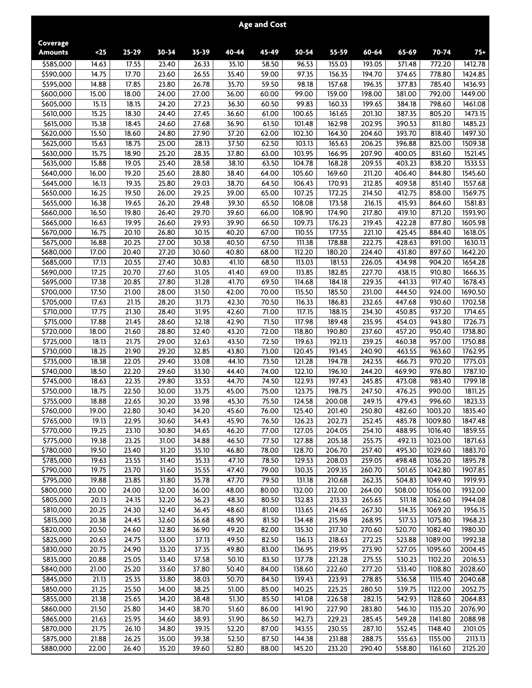|                        |                |                    |                |                |                | <b>Age and Cost</b> |                  |                  |                  |                  |                    |                    |
|------------------------|----------------|--------------------|----------------|----------------|----------------|---------------------|------------------|------------------|------------------|------------------|--------------------|--------------------|
| Coverage               | $25$           | $25 - 29$          | $30 - 34$      | $35 - 39$      | $40 - 44$      | 45-49               | 50-54            | 55-59            | 60-64            | 65-69            |                    | $75+$              |
| <b>Amounts</b>         |                |                    |                |                |                |                     |                  |                  |                  |                  | 70-74              |                    |
| \$585,000<br>\$590,000 | 14.63<br>14.75 | 17.55<br>17.70     | 23.40<br>23.60 | 26.33<br>26.55 | 35.10<br>35.40 | 58.50               | 96.53<br>97.35   | 155.03<br>156.35 | 193.05<br>194.70 | 371.48           | 772.20<br>778.80   | 1412.78            |
| \$595,000              | 14.88          | 17.85              | 23.80          | 26.78          | 35.70          | 59.00<br>59.50      | 98.18            | 157.68           | 196.35           | 374.65<br>377.83 | 785.40             | 1424.85<br>1436.93 |
| \$600,000              | 15.00          | 18.00              | 24.00          | 27.00          | 36.00          | 60.00               | 99.00            | 159.00           | 198.00           | 381.00           | 792.00             | 1449.00            |
| \$605,000              | 15.13          | 18.15              | 24.20          | 27.23          | 36.30          | 60.50               | 99.83            | 160.33           | 199.65           | 384.18           | 798.60             | 1461.08            |
| \$610,000              | 15.25          | 18.30              | 24.40          | 27.45          | 36.60          | 61.00               | 100.65           | 161.65           | 201.30           | 387.35           | 805.20             | 1473.15            |
| \$615,000              | 15.38          | 18.45              | 24.60          | 27.68          | 36.90          | 61.50               | 101.48           | 162.98           | 202.95           | 390.53           | 811.80             | 1485.23            |
| \$620,000              | 15.50          | 18.60              | 24.80          | 27.90          | 37.20          | 62.00               | 102.30           | 164.30           | 204.60           | 393.70           | 818.40             | 1497.30            |
| \$625,000              | 15.63          | 18.75              | 25.00          | 28.13          | 37.50          | 62.50               | 103.13           | 165.63           | 206.25           | 396.88           | 825.00             | 1509.38            |
| \$630,000              | 15.75          | 18.90              | 25.20          | 28.35          | 37.80          | 63.00               | 103.95           | 166.95           | 207.90           | 400.05           | 831.60             | 1521.45            |
| \$635,000              | 15.88          | 19.05              | 25.40          | 28.58          | 38.10          | 63.50               | 104.78           | 168.28           | 209.55           | 403.23           | 838.20             | 1533.53            |
| \$640,000              | 16.00          | 19.20              | 25.60          | 28.80          | 38.40          | 64.00               | 105.60           | 169.60           | 211.20           | 406.40           | 844.80             | 1545.60            |
| \$645,000              | 16.13          | 19.35              | 25.80          | 29.03          | 38.70          | 64.50               | 106.43           | 170.93           | 212.85           | 409.58           | 851.40             | 1557.68            |
| \$650,000              | 16.25          | 19.50              | 26.00          | 29.25          | 39.00          | 65.00               | 107.25           | 172.25           | 214.50           | 412.75           | 858.00             | 1569.75            |
| \$655,000<br>\$660,000 | 16.38<br>16.50 | 19.65<br>19.80     | 26.20<br>26.40 | 29.48<br>29.70 | 39.30<br>39.60 | 65.50<br>66.00      | 108.08<br>108.90 | 173.58<br>174.90 | 216.15<br>217.80 | 415.93<br>419.10 | 864.60<br>871.20   | 1581.83<br>1593.90 |
| \$665,000              | 16.63          | 19.95              | 26.60          | 29.93          | 39.90          | 66.50               | 109.73           | 176.23           | 219.45           | 422.28           | 877.80             | 1605.98            |
| \$670,000              | 16.75          | 20.10              | 26.80          | 30.15          | 40.20          | 67.00               | 110.55           | 177.55           | 221.10           | 425.45           | 884.40             | 1618.05            |
| \$675,000              | 16.88          | 20.25              | 27.00          | 30.38          | 40.50          | 67.50               | 111.38           | 178.88           | 222.75           | 428.63           | 891.00             | 1630.13            |
| \$680,000              | 17.00          | 20.40              | 27.20          | 30.60          | 40.80          | 68.00               | 112.20           | 180.20           | 224.40           | 431.80           | 897.60             | 1642.20            |
| \$685,000              | 17.13          | 20.55              | 27.40          | 30.83          | 41.10          | 68.50               | 113.03           | 181.53           | 226.05           | 434.98           | 904.20             | 1654.28            |
| \$690,000              | 17.25          | 20.70              | 27.60          | 31.05          | 41.40          | 69.00               | 113.85           | 182.85           | 227.70           | 438.15           | 910.80             | 1666.35            |
| \$695,000              | 17.38          | 20.85              | 27.80          | 31.28          | 41.70          | 69.50               | 114.68           | 184.18           | 229.35           | 441.33           | 917.40             | 1678.43            |
| \$700,000              | 17.50          | 21.00              | 28.00          | 31.50          | 42.00          | 70.00               | 115.50           | 185.50           | 231.00           | 444.50           | 924.00             | 1690.50            |
| \$705,000              | 17.63          | 21.15              | 28.20          | 31.73          | 42.30          | 70.50               | 116.33           | 186.83           | 232.65           | 447.68           | 930.60             | 1702.58            |
| \$710,000              | 17.75          | 21.30              | 28.40          | 31.95          | 42.60          | 71.00               | 117.15           | 188.15           | 234.30           | 450.85           | 937.20             | 1714.65            |
| \$715,000              | 17.88          | 21.45              | 28.60          | 32.18          | 42.90          | 71.50               | 117.98           | 189.48           | 235.95           | 454.03           | 943.80             | 1726.73            |
| \$720,000              | 18.00          | 21.60              | 28.80          | 32.40          | 43.20          | 72.00               | 118.80           | 190.80           | 237.60           | 457.20           | 950.40             | 1738.80            |
| \$725,000              | 18.13          | 21.75              | 29.00          | 32.63          | 43.50          | 72.50               | 119.63           | 192.13           | 239.25           | 460.38           | 957.00             | 1750.88            |
| \$730,000              | 18.25          | 21.90              | 29.20          | 32.85          | 43.80          | 73.00               | 120.45           | 193.45           | 240.90           | 463.55           | 963.60             | 1762.95            |
| \$735,000<br>\$740,000 | 18.38<br>18.50 | 22.05<br>22.20     | 29.40<br>29.60 | 33.08<br>33.30 | 44.10<br>44.40 | 73.50<br>74.00      | 121.28<br>122.10 | 194.78<br>196.10 | 242.55<br>244.20 | 466.73<br>469.90 | 970.20<br>976.80   | 1775.03<br>1787.10 |
| \$745,000              | 18.63          | 22.35              | 29.80          | 33.53          | 44.70          | 74.50               | 122.93           | 197.43           | 245.85           | 473.08           | 983.40             | 1799.18            |
| \$750,000              | 18.75          | 22.50              | 30.00          | 33.75          | 45.00          | 75.00               | 123.75           | 198.75           | 247.50           | 476.25           | 990.00             | 1811.25            |
| \$755,000              | 18.88          | 22.65              | 30.20          | 33.98          | 45.30          | 75.50               | 124.58           | 200.08           | 249.15           | 479.43           | 996.60             | 1823.33            |
| \$760,000              | 19.00          | 22.80              | 30.40          | 34.20          | 45.60          | 76.00               | 125.40           | 201.40           | 250.80           | 482.60           | 1003.20            | 1835.40            |
| \$765,000              | 19.13          | 22.95              | 30.60          | 34.43          | 45.90          | 76.50               | 126.23           | 202.73           | 252.45           | 485.78           | 1009.80            | 1847.48            |
| \$770,000              | 19.25          | 23.10              | 30.80          | 34.65          | 46.20          | 77.00               | 127.05           | 204.05           | 254.10           | 488.95           | 1016.40            | 1859.55            |
| \$775,000              | 19.38          | 23.25              | 31.00          | 34.88          | 46.50          | 77.50               | 127.88           | 205.38           | 255.75           | 492.13           | 1023.00            | 1871.63            |
| \$780,000              | 19.50          | 23.40              | 31.20          | 35.10          | 46.80          | 78.00               | 128.70           | 206.70           | 257.40           | 495.30           | 1029.60            | 1883.70            |
| \$785,000              | 19.63          | 23.55              | 31.40          | 35.33          | 47.10          | 78.50               | 129.53           | 208.03           | 259.05           | 498.48           | 1036.20            | 1895.78            |
| \$790,000              | 19.75          | 23.70              | 31.60          | 35.55          | 47.40          | 79.00               | 130.35           | 209.35           | 260.70           | 501.65           | 1042.80            | 1907.85            |
| \$795,000              | 19.88          | 23.85              | 31.80          | 35.78          | 47.70          | 79.50               | 131.18           | 210.68           | 262.35           | 504.83           | 1049.40            | 1919.93            |
| \$800,000              | 20.00          | 24.00              | 32.00          | 36.00          | 48.00          | 80.00               | 132.00           | 212.00           | 264.00           | 508.00           | 1056.00            | 1932.00            |
| \$805,000              | 20.13          | 24.15              | 32.20          | 36.23          | 48.30          | 80.50               | 132.83           | 213.33<br>214.65 | 265.65           | 511.18           | 1062.60            | 1944.08            |
| \$810,000<br>\$815,000 | 20.25<br>20.38 | 24.30<br>24.45     | 32.40<br>32.60 | 36.45<br>36.68 | 48.60<br>48.90 | 81.00<br>81.50      | 133.65<br>134.48 | 215.98           | 267.30<br>268.95 | 514.35<br>517.53 | 1069.20<br>1075.80 | 1956.15<br>1968.23 |
| \$820,000              | 20.50          | 24.60              | 32.80          | 36.90          | 49.20          | 82.00               | 135.30           | 217.30           | 270.60           | 520.70           | 1082.40            | 1980.30            |
| \$825,000              | 20.63          | 24.75              | 33.00          | 37.13          | 49.50          | 82.50               | 136.13           | 218.63           | 272.25           | 523.88           | 1089.00            | 1992.38            |
| \$830,000              | 20.75          | 24.90              | 33.20          | 37.35          | 49.80          | 83.00               | 136.95           | 219.95           | 273.90           | 527.05           | 1095.60            | 2004.45            |
| \$835,000              | 20.88          | 25.05              | 33.40          | 37.58          | 50.10          | 83.50               | 137.78           | 221.28           | 275.55           | 530.23           | 1102.20            | 2016.53            |
| \$840,000              | 21.00          | 25.20              | 33.60          | 37.80          | 50.40          | 84.00               | 138.60           | 222.60           | 277.20           | 533.40           | 1108.80            | 2028.60            |
| \$845,000              | 21.13          | 25.35              | 33.80          | 38.03          | 50.70          | 84.50               | 139.43           | 223.93           | 278.85           | 536.58           | 1115.40            | 2040.68            |
| \$850,000              | 21.25          | 25.50              | 34.00          | 38.25          | 51.00          | 85.00               | 140.25           | 225.25           | 280.50           | 539.75           | 1122.00            | 2052.75            |
| \$855,000              | 21.38          | 25.65              | 34.20          | 38.48          | 51.30          | 85.50               | 141.08           | 226.58           | 282.15           | 542.93           | 1128.60            | 2064.83            |
| \$860,000              | 21.50          | 25.80              | 34.40          | 38.70          | 51.60          | 86.00               | 141.90           | 227.90           | 283.80           | 546.10           | 1135.20            | 2076.90            |
| \$865,000              | 21.63          | 25.95              | 34.60          | 38.93          | 51.90          | 86.50               | 142.73           | 229.23           | 285.45           | 549.28           | 1141.80            | 2088.98            |
| \$870,000              | 21.75          | 26.10              | 34.80          | 39.15          | 52.20          | 87.00               | 143.55           | 230.55           | 287.10           | 552.45           | 1148.40            | 2101.05            |
| \$875,000              | 21.88          | $\overline{26.25}$ | 35.00          | 39.38          | 52.50          | 87.50               | 144.38           | 231.88           | 288.75           | 555.63           | 1155.00            | 2113.13            |
| \$880,000              | 22.00          | 26.40              | 35.20          | 39.60          | 52.80          | 88.00               | 145.20           | 233.20           | 290.40           | 558.80           | 1161.60            | 2125.20            |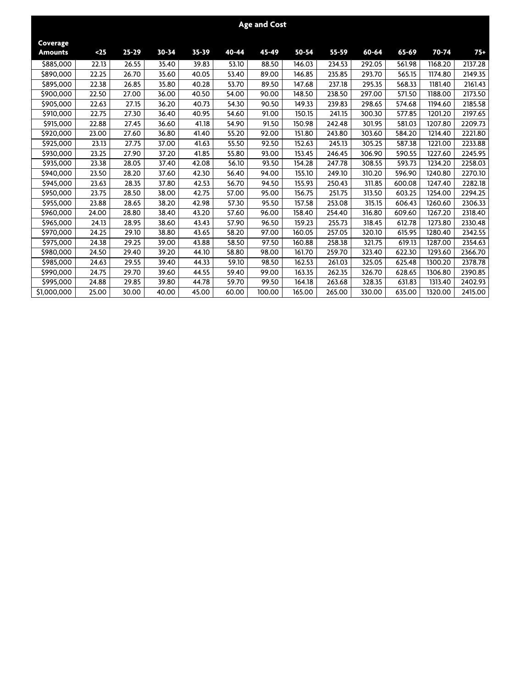|                            |       |           |           |           |       | <b>Age and Cost</b> |        |        |        |        |         |         |
|----------------------------|-------|-----------|-----------|-----------|-------|---------------------|--------|--------|--------|--------|---------|---------|
| Coverage<br><b>Amounts</b> | $25$  | $25 - 29$ | $30 - 34$ | $35 - 39$ | 40-44 | 45-49               | 50-54  | 55-59  | 60-64  | 65-69  | 70-74   | $75+$   |
| \$885,000                  | 22.13 | 26.55     | 35.40     | 39.83     | 53.10 | 88.50               | 146.03 | 234.53 | 292.05 | 561.98 | 1168.20 | 2137.28 |
| \$890,000                  | 22.25 | 26.70     | 35.60     | 40.05     | 53.40 | 89.00               | 146.85 | 235.85 | 293.70 | 565.15 | 1174.80 | 2149.35 |
| \$895,000                  | 22.38 | 26.85     | 35.80     | 40.28     | 53.70 | 89.50               | 147.68 | 237.18 | 295.35 | 568.33 | 1181.40 | 2161.43 |
| \$900,000                  | 22.50 | 27.00     | 36.00     | 40.50     | 54.00 | 90.00               | 148.50 | 238.50 | 297.00 | 571.50 | 1188.00 | 2173.50 |
| \$905,000                  | 22.63 | 27.15     | 36.20     | 40.73     | 54.30 | 90.50               | 149.33 | 239.83 | 298.65 | 574.68 | 1194.60 | 2185.58 |
| \$910,000                  | 22.75 | 27.30     | 36.40     | 40.95     | 54.60 | 91.00               | 150.15 | 241.15 | 300.30 | 577.85 | 1201.20 | 2197.65 |
| \$915,000                  | 22.88 | 27.45     | 36.60     | 41.18     | 54.90 | 91.50               | 150.98 | 242.48 | 301.95 | 581.03 | 1207.80 | 2209.73 |
| \$920,000                  | 23.00 | 27.60     | 36.80     | 41.40     | 55.20 | 92.00               | 151.80 | 243.80 | 303.60 | 584.20 | 1214.40 | 2221.80 |
| \$925,000                  | 23.13 | 27.75     | 37.00     | 41.63     | 55.50 | 92.50               | 152.63 | 245.13 | 305.25 | 587.38 | 1221.00 | 2233.88 |
| \$930,000                  | 23.25 | 27.90     | 37.20     | 41.85     | 55.80 | 93.00               | 153.45 | 246.45 | 306.90 | 590.55 | 1227.60 | 2245.95 |
| \$935,000                  | 23.38 | 28.05     | 37.40     | 42.08     | 56.10 | 93.50               | 154.28 | 247.78 | 308.55 | 593.73 | 1234.20 | 2258.03 |
| \$940,000                  | 23.50 | 28.20     | 37.60     | 42.30     | 56.40 | 94.00               | 155.10 | 249.10 | 310.20 | 596.90 | 1240.80 | 2270.10 |
| \$945,000                  | 23.63 | 28.35     | 37.80     | 42.53     | 56.70 | 94.50               | 155.93 | 250.43 | 311.85 | 600.08 | 1247.40 | 2282.18 |
| \$950,000                  | 23.75 | 28.50     | 38.00     | 42.75     | 57.00 | 95.00               | 156.75 | 251.75 | 313.50 | 603.25 | 1254.00 | 2294.25 |
| \$955,000                  | 23.88 | 28.65     | 38.20     | 42.98     | 57.30 | 95.50               | 157.58 | 253.08 | 315.15 | 606.43 | 1260.60 | 2306.33 |
| \$960,000                  | 24.00 | 28.80     | 38.40     | 43.20     | 57.60 | 96.00               | 158.40 | 254.40 | 316.80 | 609.60 | 1267.20 | 2318.40 |
| \$965,000                  | 24.13 | 28.95     | 38.60     | 43.43     | 57.90 | 96.50               | 159.23 | 255.73 | 318.45 | 612.78 | 1273.80 | 2330.48 |
| \$970,000                  | 24.25 | 29.10     | 38.80     | 43.65     | 58.20 | 97.00               | 160.05 | 257.05 | 320.10 | 615.95 | 1280.40 | 2342.55 |
| \$975,000                  | 24.38 | 29.25     | 39.00     | 43.88     | 58.50 | 97.50               | 160.88 | 258.38 | 321.75 | 619.13 | 1287.00 | 2354.63 |
| \$980,000                  | 24.50 | 29.40     | 39.20     | 44.10     | 58.80 | 98.00               | 161.70 | 259.70 | 323.40 | 622.30 | 1293.60 | 2366.70 |
| \$985,000                  | 24.63 | 29.55     | 39.40     | 44.33     | 59.10 | 98.50               | 162.53 | 261.03 | 325.05 | 625.48 | 1300.20 | 2378.78 |
| \$990,000                  | 24.75 | 29.70     | 39.60     | 44.55     | 59.40 | 99.00               | 163.35 | 262.35 | 326.70 | 628.65 | 1306.80 | 2390.85 |
| \$995,000                  | 24.88 | 29.85     | 39.80     | 44.78     | 59.70 | 99.50               | 164.18 | 263.68 | 328.35 | 631.83 | 1313.40 | 2402.93 |
| \$1,000,000                | 25.00 | 30.00     | 40.00     | 45.00     | 60.00 | 100.00              | 165.00 | 265.00 | 330.00 | 635.00 | 1320.00 | 2415.00 |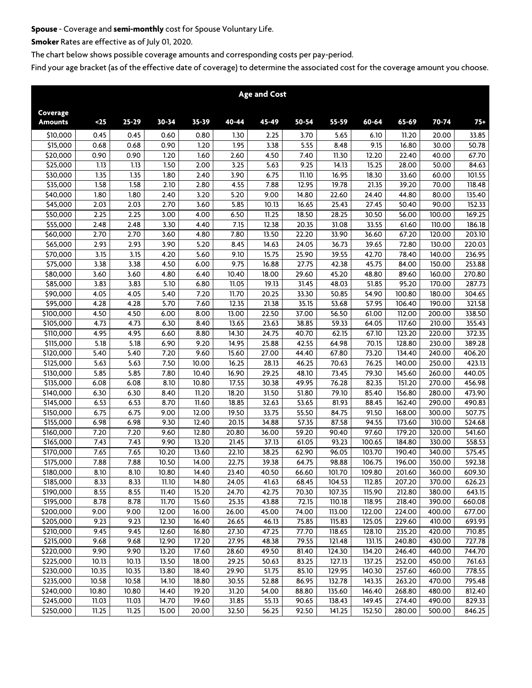## **Spouse - Coverage and semi-monthly cost for Spouse Voluntary Life.**

**Smoker Rates are effective as of July 01, 2020.**

**The chart below shows possible coverage amounts and corresponding costs per pay-period.**

|                            |       |       |       |                    |                  | <b>Age and Cost</b> |       |        |                     |        |        |        |
|----------------------------|-------|-------|-------|--------------------|------------------|---------------------|-------|--------|---------------------|--------|--------|--------|
| Coverage<br><b>Amounts</b> | $25$  | 25-29 | 30-34 | $35 - 39$          | 40-44            | 45-49               | 50-54 | 55-59  | 60-64               | 65-69  | 70-74  | $75+$  |
|                            |       |       |       |                    |                  |                     |       |        |                     |        |        |        |
| \$10,000                   | 0.45  | 0.45  | 0.60  | 0.80               | 1.30             | 2.25                | 3.70  | 5.65   | 6.10                | 11.20  | 20.00  | 33.85  |
| \$15,000                   | 0.68  | 0.68  | 0.90  | 1.20               | 1.95             | 3.38                | 5.55  | 8.48   | 9.15                | 16.80  | 30.00  | 50.78  |
| \$20,000                   | 0.90  | 0.90  | 1.20  | 1.60               | 2.60             | 4.50                | 7.40  | 11.30  | 12.20               | 22.40  | 40.00  | 67.70  |
| \$25,000                   | 1.13  | 1.13  | 1.50  | 2.00               | 3.25             | 5.63                | 9.25  | 14.13  | 15.25               | 28.00  | 50.00  | 84.63  |
| $\overline{$}30,000$       | 1.35  | 1.35  | 1.80  | 2.40               | 3.90             | 6.75                | 11.10 | 16.95  | 18.30               | 33.60  | 60.00  | 101.55 |
| \$35,000                   | 1.58  | 1.58  | 2.10  | 2.80               | 4.55             | 7.88                | 12.95 | 19.78  | 21.35               | 39.20  | 70.00  | 118.48 |
| \$40,000                   | 1.80  | 1.80  | 2.40  | 3.20               | 5.20             | 9.00                | 14.80 | 22.60  | 24.40               | 44.80  | 80.00  | 135.40 |
| \$45,000                   | 2.03  | 2.03  | 2.70  | 3.60               | 5.85             | 10.13               | 16.65 | 25.43  | 27.45               | 50.40  | 90.00  | 152.33 |
| \$50,000                   | 2.25  | 2.25  | 3.00  | 4.00               | 6.50             | 11.25               | 18.50 | 28.25  | 30.50               | 56.00  | 100.00 | 169.25 |
| \$55,000                   | 2.48  | 2.48  | 3.30  | 4.40               | 7.15             | 12.38               | 20.35 | 31.08  | 33.55               | 61.60  | 110.00 | 186.18 |
| \$60,000                   | 2.70  | 2.70  | 3.60  | 4.80               | 7.80             | 13.50               | 22.20 | 33.90  | 36.60               | 67.20  | 120.00 | 203.10 |
| \$65,000                   | 2.93  | 2.93  | 3.90  | 5.20               | 8.45             | 14.63               | 24.05 | 36.73  | 39.65               | 72.80  | 130.00 | 220.03 |
| \$70,000                   | 3.15  | 3.15  | 4.20  | 5.60               | 9.10             | 15.75               | 25.90 | 39.55  | 42.70               | 78.40  | 140.00 | 236.95 |
| \$75,000                   | 3.38  | 3.38  | 4.50  | 6.00               | $\frac{1}{9.75}$ | 16.88               | 27.75 | 42.38  | 45.75               | 84.00  | 150.00 | 253.88 |
| \$80,000                   | 3.60  | 3.60  | 4.80  | 6.40               | 10.40            | 18.00               | 29.60 | 45.20  | 48.80               | 89.60  | 160.00 | 270.80 |
| \$85,000                   | 3.83  | 3.83  | 5.10  | 6.80               | 11.05            | 19.13               | 31.45 | 48.03  | 51.85               | 95.20  | 170.00 | 287.73 |
| \$90,000                   | 4.05  | 4.05  | 5.40  | 7.20               | 11.70            | 20.25               | 33.30 | 50.85  | 54.90               | 100.80 | 180.00 | 304.65 |
| \$95,000                   | 4.28  | 4.28  | 5.70  | 7.60               | 12.35            | 21.38               | 35.15 | 53.68  | 57.95               | 106.40 | 190.00 | 321.58 |
| \$100,000                  | 4.50  | 4.50  | 6.00  | 8.00               | 13.00            | 22.50               | 37.00 | 56.50  | 61.00               | 112.00 | 200.00 | 338.50 |
| $\overline{$}305,000$      | 4.73  | 4.73  | 6.30  | 8.40               | 13.65            | 23.63               | 38.85 | 59.33  | 64.05               | 117.60 | 210.00 | 355.43 |
| $\overline{$}310,000$      | 4.95  | 4.95  | 6.60  | 8.80               | 14.30            | 24.75               | 40.70 | 62.15  | 67.10               | 123.20 | 220.00 | 372.35 |
| \$115,000                  | 5.18  | 5.18  | 6.90  | 9.20               | 14.95            | 25.88               | 42.55 | 64.98  | 70.15               | 128.80 | 230.00 | 389.28 |
| \$120,000                  | 5.40  | 5.40  | 7.20  | 9.60               | 15.60            | 27.00               | 44.40 | 67.80  | 73.20               | 134.40 | 240.00 | 406.20 |
| \$125,000                  | 5.63  | 5.63  | 7.50  | 10.00              | 16.25            | 28.13               | 46.25 | 70.63  | 76.25               | 140.00 | 250.00 | 423.13 |
| \$130,000                  | 5.85  | 5.85  | 7.80  | 10.40              | 16.90            | 29.25               | 48.10 | 73.45  | 79.30               | 145.60 | 260.00 | 440.05 |
| \$135,000                  | 6.08  | 6.08  | 8.10  | 10.80              | 17.55            | 30.38               | 49.95 | 76.28  | 82.35               | 151.20 | 270.00 | 456.98 |
| \$140,000                  | 6.30  | 6.30  | 8.40  | 11.20              | 18.20            | 31.50               | 51.80 | 79.10  | 85.40               | 156.80 | 280.00 | 473.90 |
| \$145,000                  | 6.53  | 6.53  | 8.70  | 11.60              | 18.85            | 32.63               | 53.65 | 81.93  | 88.45               | 162.40 | 290.00 | 490.83 |
| \$150,000                  | 6.75  | 6.75  | 9.00  | 12.00              | 19.50            | 33.75               | 55.50 | 84.75  | 91.50               | 168.00 | 300.00 | 507.75 |
| \$155,000                  | 6.98  | 6.98  | 9.30  | 12.40              | 20.15            | 34.88               | 57.35 | 87.58  | 94.55               | 173.60 | 310.00 | 524.68 |
| \$160,000                  | 7.20  | 7.20  | 9.60  | 12.80              | 20.80            | 36.00               | 59.20 | 90.40  | 97.60               | 179.20 | 320.00 | 541.60 |
| \$165,000                  | 7.43  | 7.43  | 9.90  | $\overline{13.20}$ | 21.45            | 37.13               | 61.05 | 93.23  | $\overline{100.65}$ | 184.80 | 330.00 | 558.53 |
| \$170,000                  | 7.65  | 7.65  | 10.20 | 13.60              | 22.10            | 38.25               | 62.90 | 96.05  | 103.70              | 190.40 | 340.00 | 575.45 |
| $\overline{$}375,000$      | 7.88  | 7.88  | 10.50 | 14.00              | 22.75            | 39.38               | 64.75 | 98.88  | 106.75              | 196.00 | 350.00 | 592.38 |
| $\overline{$}3180,000$     | 8.10  | 8.10  | 10.80 | 14.40              | 23.40            | 40.50               | 66.60 | 101.70 | 109.80              | 201.60 | 360.00 | 609.30 |
| \$185,000                  | 8.33  | 8.33  | 11.10 | 14.80              | 24.05            | 41.63               | 68.45 | 104.53 | 112.85              | 207.20 | 370.00 | 626.23 |
| \$190,000                  | 8.55  | 8.55  | 11.40 | 15.20              | 24.70            | 42.75               | 70.30 | 107.35 | 115.90              | 212.80 | 380.00 | 643.15 |
| \$195,000                  | 8.78  | 8.78  | 11.70 | 15.60              | 25.35            | 43.88               | 72.15 | 110.18 | 118.95              | 218.40 | 390.00 | 660.08 |
| \$200,000                  | 9.00  | 9.00  | 12.00 | 16.00              | 26.00            | 45.00               | 74.00 | 113.00 | 122.00              | 224.00 | 400.00 | 677.00 |
| \$205,000                  | 9.23  | 9.23  | 12.30 | 16.40              | 26.65            | 46.13               | 75.85 | 115.83 | 125.05              | 229.60 | 410.00 | 693.93 |
| \$210,000                  | 9.45  | 9.45  | 12.60 | 16.80              | 27.30            | 47.25               | 77.70 | 118.65 | 128.10              | 235.20 | 420.00 | 710.85 |
| \$215,000                  | 9.68  | 9.68  | 12.90 | 17.20              | 27.95            | 48.38               | 79.55 | 121.48 | 131.15              | 240.80 | 430.00 | 727.78 |
| \$220,000                  | 9.90  | 9.90  | 13.20 | 17.60              | 28.60            | 49.50               | 81.40 | 124.30 | 134.20              | 246.40 | 440.00 | 744.70 |
| \$225,000                  | 10.13 | 10.13 | 13.50 | 18.00              | 29.25            | 50.63               | 83.25 | 127.13 | 137.25              | 252.00 | 450.00 | 761.63 |
| \$230,000                  | 10.35 | 10.35 | 13.80 | 18.40              | 29.90            | 51.75               | 85.10 | 129.95 | 140.30              | 257.60 | 460.00 | 778.55 |
| \$235,000                  | 10.58 | 10.58 | 14.10 | 18.80              | 30.55            | 52.88               | 86.95 | 132.78 | 143.35              | 263.20 | 470.00 | 795.48 |
| \$240,000                  | 10.80 | 10.80 | 14.40 | 19.20              | 31.20            | 54.00               | 88.80 | 135.60 | 146.40              | 268.80 | 480.00 | 812.40 |
| \$245,000                  | 11.03 | 11.03 | 14.70 | 19.60              | 31.85            | 55.13               | 90.65 | 138.43 | 149.45              | 274.40 | 490.00 | 829.33 |
| \$250,000                  | 11.25 | 11.25 | 15.00 | 20.00              | 32.50            | 56.25               | 92.50 | 141.25 | 152.50              | 280.00 | 500.00 | 846.25 |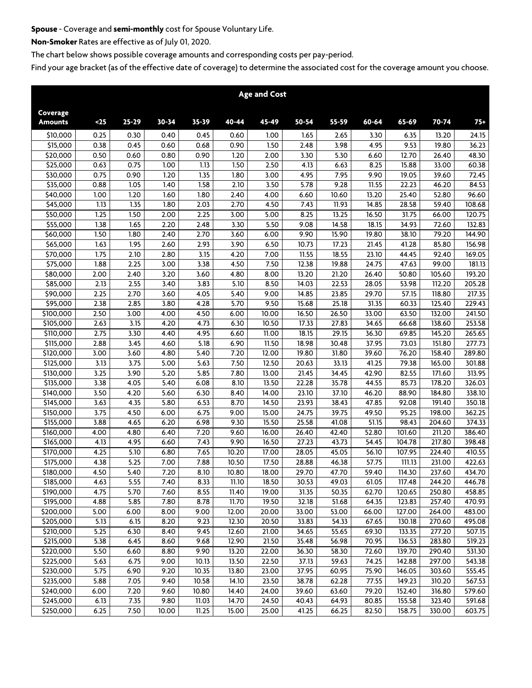# **Spouse - Coverage and semi-monthly cost for Spouse Voluntary Life.**

**Non-Smoker Rates are effective as of July 01, 2020.**

**The chart below shows possible coverage amounts and corresponding costs per pay-period.**

|                        |              |              |              |              |                | <b>Age and Cost</b> |                |                |                |                  |                  |                  |
|------------------------|--------------|--------------|--------------|--------------|----------------|---------------------|----------------|----------------|----------------|------------------|------------------|------------------|
| Coverage               |              |              |              |              |                |                     |                |                |                |                  |                  |                  |
| <b>Amounts</b>         | $25$         | 25-29        | 30-34        | 35-39        | 40-44          | 45-49               | 50-54          | 55-59          | 60-64          | 65-69            | 70-74            | $75+$            |
| \$10,000               | 0.25         | 0.30         | 0.40         | 0.45         | 0.60           | 1.00                | 1.65           | 2.65           | 3.30           | 6.35             | 13.20            | 24.15            |
| $\overline{$}315,000$  | 0.38         | 0.45         | 0.60         | 0.68         | 0.90           | 1.50                | 2.48           | 3.98           | 4.95           | 9.53             | 19.80            | 36.23            |
| $\overline{$}20,000$   | 0.50         | 0.60         | 0.80         | 0.90         | 1.20           | 2.00                | 3.30           | 5.30           | 6.60           | 12.70            | 26.40            | 48.30            |
| \$25,000               | 0.63         | 0.75         | 1.00         | 1.13         | 1.50           | 2.50                | 4.13           | 6.63           | 8.25           | 15.88            | 33.00            | 60.38            |
| \$30,000               | 0.75         | 0.90         | 1.20         | 1.35         | 1.80           | 3.00                | 4.95           | 7.95           | 9.90           | 19.05            | 39.60            | 72.45            |
| 535,000                | 0.88         | 1.05         | 1.40         | 1.58         | 2.10           | 3.50                | 5.78           | 9.28           | 11.55          | 22.23            | 46.20            | 84.53            |
| $\overline{$}40,000$   | 1.00         | 1.20         | 1.60         | 1.80         | 2.40           | 4.00                | 6.60           | 10.60          | 13.20          | 25.40            | 52.80            | 96.60            |
| \$45,000               | 1.13         | 1.35         | 1.80         | 2.03         | 2.70           | 4.50                | 7.43           | 11.93          | 14.85          | 28.58            | 59.40            | 108.68           |
| \$50,000               | 1.25         | 1.50         | 2.00         | 2.25         | 3.00           | 5.00                | 8.25           | 13.25          | 16.50          | 31.75            | 66.00            | 120.75           |
| \$55,000               | 1.38         | 1.65         | 2.20         | 2.48         | 3.30           | 5.50                | 9.08           | 14.58          | 18.15          | 34.93            | 72.60            | 132.83           |
| \$60,000               | 1.50         | 1.80         | 2.40         | 2.70         | 3.60           | 6.00                | 9.90           | 15.90          | 19.80          | 38.10            | 79.20            | 144.90           |
| 565,000                | 1.63         | 1.95         | 2.60         | 2.93         | 3.90           | 6.50                | 10.73          | 17.23          | 21.45          | 41.28            | 85.80            | 156.98           |
| \$70,000               | 1.75         | 2.10         | 2.80         | 3.15         | 4.20           | 7.00                | 11.55          | 18.55          | 23.10          | 44.45            | 92.40            | 169.05           |
| \$75,000               | 1.88         | 2.25         | 3.00         | 3.38         | 4.50           | 7.50                | 12.38          | 19.88          | 24.75          | 47.63            | 99.00            | 181.13           |
| \$80,000               | 2.00         | 2.40         | 3.20         | 3.60         | 4.80           | 8.00                | 13.20          | 21.20          | 26.40          | 50.80            | 105.60           | 193.20           |
| \$85,000               | 2.13         | 2.55         | 3.40         | 3.83         | 5.10           | 8.50                | 14.03          | 22.53          | 28.05          | 53.98            | 112.20           | 205.28           |
| \$90,000               | 2.25         | 2.70         | 3.60         | 4.05         | 5.40           | 9.00                | 14.85          | 23.85          | 29.70          | 57.15            | 118.80           | 217.35           |
| \$95,000               | 2.38         | 2.85         | 3.80         | 4.28         | 5.70           | 9.50                | 15.68          | 25.18          | 31.35          | 60.33            | 125.40           | 229.43           |
| \$100.000              | 2.50         | 3.00         | 4.00         | 4.50         | 6.00           | 10.00               | 16.50          | 26.50          | 33.00          | 63.50            | 132.00           | 241.50           |
| \$105,000              | 2.63         | 3.15         | 4.20         | 4.73         | 6.30           | 10.50               | 17.33          | 27.83          | 34.65          | 66.68            | 138.60           | 253.58           |
| $\frac{1}{10,000}$     | 2.75         | 3.30         | 4.40         | 4.95         | 6.60           | 11.00               | 18.15          | 29.15          | 36.30          | 69.85            | 145.20           | 265.65           |
| $\overline{$}3115,000$ | 2.88         | 3.45         | 4.60         | 5.18         | 6.90           | 11.50               | 18.98          | 30.48          | 37.95          | 73.03            | 151.80           | 277.73           |
| \$120,000              | 3.00         | 3.60         | 4.80         | 5.40         | 7.20           | 12.00               | 19.80          | 31.80          | 39.60          | 76.20            | 158.40           | 289.80           |
| \$125,000              | 3.13         | 3.75         | 5.00         | 5.63         | 7.50           | 12.50               | 20.63          | 33.13          | 41.25          | 79.38            | 165.00           | 301.88           |
| \$130,000              | 3.25         | 3.90         | 5.20         | 5.85         | 7.80           | 13.00               | 21.45          | 34.45          | 42.90          | 82.55            | 171.60           | 313.95           |
| \$135,000              | 3.38         | 4.05         | 5.40         | 6.08         | 8.10           | 13.50               | 22.28          | 35.78          | 44.55          | 85.73            | 178.20           | 326.03           |
| \$140,000              | 3.50         | 4.20         | 5.60         | 6.30         | 8.40           | 14.00               | 23.10          | 37.10          | 46.20          | 88.90            | 184.80           | 338.10           |
| \$145,000              | 3.63         | 4.35         | 5.80         | 6.53         | 8.70           | 14.50               | 23.93          | 38.43          | 47.85          | 92.08            | 191.40           | 350.18           |
| \$150,000              | 3.75         | 4.50         | 6.00         | 6.75         | 9.00           | 15.00               | 24.75          | 39.75          | 49.50          | 95.25            | 198.00           | 362.25           |
| \$155,000              | 3.88         | 4.65         | 6.20         | 6.98         | 9.30           | 15.50               | 25.58          | 41.08          | 51.15          | 98.43            | 204.60           | 374.33           |
| \$160,000              | 4.00         | 4.80         | 6.40         | 7.20         | 9.60           | 16.00               | 26.40          | 42.40          | 52.80          | 101.60           | 211.20           | 386.40           |
| $\overline{$}3165,000$ | 4.13         | 4.95         | 6.60         | 7.43         | 9.90           | 16.50               | 27.23          | 43.73          | 54.45          | 104.78           | 217.80           | 398.48           |
| \$170,000              | 4.25         | 5.10         | 6.80         | 7.65         | 10.20          | 17.00               | 28.05          | 45.05          | 56.10          | 107.95           | 224.40           | 410.55           |
| \$175,000              | 4.38         | 5.25         | 7.00         | 7.88         | 10.50          | 17.50               | 28.88          | 46.38          | 57.75          | 111.13           | 231.00           | 422.63           |
| \$180,000              | 4.50         | 5.40         | 7.20         | 8.10         | 10.80          | 18.00               | 29.70          | 47.70          | 59.40          | 114.30           | 237.60           | 434.70           |
| \$185,000              | 4.63         | 5.55         | 7.40         | 8.33         | 11.10          | 18.50               | 30.53          | 49.03          | 61.05          | 117.48           | 244.20           | 446.78           |
| \$190,000<br>\$195,000 | 4.75         | 5.70<br>5.85 | 7.60         | 8.55         | 11.40<br>11.70 | 19.00<br>19.50      | 31.35          | 50.35          | 62.70          | 120.65           | 250.80           | 458.85           |
|                        | 4.88         |              | 7.80         | 8.78         |                |                     | 32.18          | 51.68          | 64.35          | 123.83           | 257.40           | 470.93           |
| \$200,000              | 5.00         | 6.00<br>6.15 | 8.00         | 9.00         | 12.00          | 20.00               | 33.00          | 53.00          | 66.00          | 127.00           | 264.00           | 483.00           |
| \$205,000<br>\$210,000 | 5.13<br>5.25 |              | 8.20         | 9.23         | 12.30<br>12.60 | 20.50               | 33.83          | 54.33          | 67.65          | 130.18<br>133.35 | 270.60           | 495.08<br>507.15 |
| \$215,000              | 5.38         | 6.30<br>6.45 | 8.40<br>8.60 | 9.45<br>9.68 | 12.90          | 21.00<br>21.50      | 34.65<br>35.48 | 55.65<br>56.98 | 69.30<br>70.95 | 136.53           | 277.20<br>283.80 | 519.23           |
| \$220,000              | 5.50         | 6.60         | 8.80         | 9.90         | 13.20          | 22.00               | 36.30          | 58.30          | 72.60          | 139.70           | 290.40           | 531.30           |
| \$225,000              | 5.63         | 6.75         | 9.00         | 10.13        | 13.50          | 22.50               | 37.13          | 59.63          | 74.25          | 142.88           | 297.00           | 543.38           |
| \$230,000              | 5.75         | 6.90         | 9.20         | 10.35        | 13.80          | 23.00               | 37.95          | 60.95          | 75.90          | 146.05           | 303.60           | 555.45           |
| \$235,000              | 5.88         | 7.05         | 9.40         | 10.58        | 14.10          | 23.50               | 38.78          | 62.28          | 77.55          | 149.23           | 310.20           | 567.53           |
| \$240,000              | 6.00         | 7.20         | 9.60         | 10.80        | 14.40          | 24.00               | 39.60          | 63.60          | 79.20          | 152.40           | 316.80           | 579.60           |
| \$245,000              | 6.13         | 7.35         | 9.80         | 11.03        | 14.70          | 24.50               | 40.43          | 64.93          | 80.85          | 155.58           | 323.40           | 591.68           |
| \$250,000              | 6.25         | 7.50         | 10.00        | 11.25        | 15.00          | 25.00               | 41.25          | 66.25          | 82.50          | 158.75           | 330.00           | 603.75           |